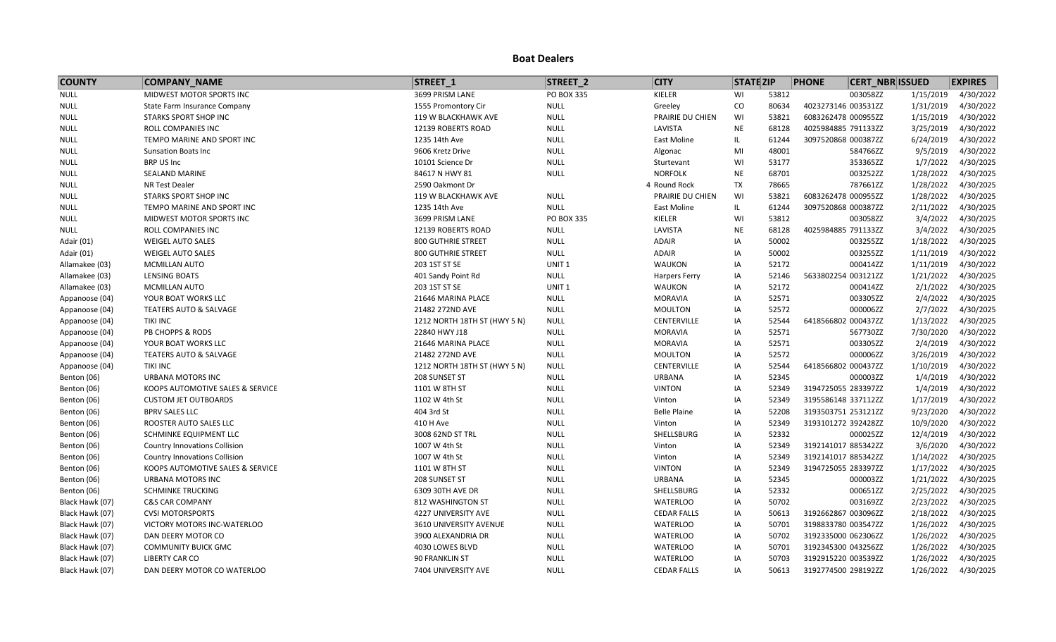| <b>COUNTY</b>   | <b>COMPANY_NAME</b>                  | STREET 1                     | STREET_2          | <b>CITY</b>          | <b>STATE ZIP</b> |       | <b>PHONE</b><br><b>CERT NBR ISSUED</b> |           | <b>EXPIRES</b> |
|-----------------|--------------------------------------|------------------------------|-------------------|----------------------|------------------|-------|----------------------------------------|-----------|----------------|
| <b>NULL</b>     | MIDWEST MOTOR SPORTS INC             | 3699 PRISM LANE              | PO BOX 335        | KIELER               | WI               | 53812 | 003058ZZ                               | 1/15/2019 | 4/30/2022      |
| <b>NULL</b>     | State Farm Insurance Company         | 1555 Promontory Cir          | <b>NULL</b>       | Greeley              | CO               | 80634 | 4023273146 003531ZZ                    | 1/31/2019 | 4/30/2022      |
| <b>NULL</b>     | STARKS SPORT SHOP INC                | 119 W BLACKHAWK AVE          | <b>NULL</b>       | PRAIRIE DU CHIEN     | WI               | 53821 | 6083262478 000955ZZ                    | 1/15/2019 | 4/30/2022      |
| <b>NULL</b>     | ROLL COMPANIES INC                   | 12139 ROBERTS ROAD           | <b>NULL</b>       | LAVISTA              | <b>NE</b>        | 68128 | 4025984885 791133ZZ                    | 3/25/2019 | 4/30/2022      |
| <b>NULL</b>     | TEMPO MARINE AND SPORT INC           | 1235 14th Ave                | <b>NULL</b>       | East Moline          | IL               | 61244 | 3097520868 000387ZZ                    | 6/24/2019 | 4/30/2022      |
| <b>NULL</b>     | <b>Sunsation Boats Inc</b>           | 9606 Kretz Drive             | <b>NULL</b>       | Algonac              | MI               | 48001 | 584766ZZ                               | 9/5/2019  | 4/30/2022      |
| <b>NULL</b>     | BRP US Inc                           | 10101 Science Dr             | <b>NULL</b>       | Sturtevant           | WI               | 53177 | 353365ZZ                               | 1/7/2022  | 4/30/2025      |
| <b>NULL</b>     | SEALAND MARINE                       | 84617 N HWY 81               | <b>NULL</b>       | <b>NORFOLK</b>       | <b>NE</b>        | 68701 | 003252ZZ                               | 1/28/2022 | 4/30/2025      |
| <b>NULL</b>     | NR Test Dealer                       | 2590 Oakmont Dr              |                   | 4 Round Rock         | <b>TX</b>        | 78665 | 787661ZZ                               | 1/28/2022 | 4/30/2025      |
| <b>NULL</b>     | STARKS SPORT SHOP INC                | 119 W BLACKHAWK AVE          | <b>NULL</b>       | PRAIRIE DU CHIEN     | WI               | 53821 | 6083262478 000955ZZ                    | 1/28/2022 | 4/30/2025      |
| <b>NULL</b>     | TEMPO MARINE AND SPORT INC           | 1235 14th Ave                | <b>NULL</b>       | East Moline          | IL.              | 61244 | 3097520868 000387ZZ                    | 2/11/2022 | 4/30/2025      |
| <b>NULL</b>     | MIDWEST MOTOR SPORTS INC             | 3699 PRISM LANE              | PO BOX 335        | KIELER               | WI               | 53812 | 003058ZZ                               | 3/4/2022  | 4/30/2025      |
| <b>NULL</b>     | ROLL COMPANIES INC                   | 12139 ROBERTS ROAD           | <b>NULL</b>       | LAVISTA              | <b>NE</b>        | 68128 | 4025984885 791133ZZ                    | 3/4/2022  | 4/30/2025      |
| Adair (01)      | <b>WEIGEL AUTO SALES</b>             | <b>800 GUTHRIE STREET</b>    | <b>NULL</b>       | ADAIR                | IA               | 50002 | 003255ZZ                               | 1/18/2022 | 4/30/2025      |
| Adair (01)      | WEIGEL AUTO SALES                    | <b>800 GUTHRIE STREET</b>    | <b>NULL</b>       | ADAIR                | ΙA               | 50002 | 003255ZZ                               | 1/11/2019 | 4/30/2022      |
| Allamakee (03)  | <b>MCMILLAN AUTO</b>                 | 203 1ST ST SE                | UNIT <sub>1</sub> | <b>WAUKON</b>        | IA               | 52172 | 000414ZZ                               | 1/11/2019 | 4/30/2022      |
| Allamakee (03)  | <b>LENSING BOATS</b>                 | 401 Sandy Point Rd           | <b>NULL</b>       | <b>Harpers Ferry</b> | IA               | 52146 | 5633802254 003121ZZ                    | 1/21/2022 | 4/30/2025      |
| Allamakee (03)  | MCMILLAN AUTO                        | 203 1ST ST SE                | UNIT <sub>1</sub> | <b>WAUKON</b>        | ΙA               | 52172 | 000414ZZ                               | 2/1/2022  | 4/30/2025      |
| Appanoose (04)  | YOUR BOAT WORKS LLC                  | 21646 MARINA PLACE           | <b>NULL</b>       | <b>MORAVIA</b>       | IA               | 52571 | 003305ZZ                               | 2/4/2022  | 4/30/2025      |
| Appanoose (04)  | <b>TEATERS AUTO &amp; SALVAGE</b>    | 21482 272ND AVE              | <b>NULL</b>       | <b>MOULTON</b>       | ΙA               | 52572 | 000006ZZ                               | 2/7/2022  | 4/30/2025      |
| Appanoose (04)  | <b>TIKI INC</b>                      | 1212 NORTH 18TH ST (HWY 5 N) | <b>NULL</b>       | CENTERVILLE          | IA               | 52544 | 6418566802 000437ZZ                    | 1/13/2022 | 4/30/2025      |
| Appanoose (04)  | PB CHOPPS & RODS                     | 22840 HWY J18                | <b>NULL</b>       | <b>MORAVIA</b>       | IA               | 52571 | 567730ZZ                               | 7/30/2020 | 4/30/2022      |
| Appanoose (04)  | YOUR BOAT WORKS LLC                  | 21646 MARINA PLACE           | <b>NULL</b>       | <b>MORAVIA</b>       | ΙA               | 52571 | 003305ZZ                               | 2/4/2019  | 4/30/2022      |
| Appanoose (04)  | <b>TEATERS AUTO &amp; SALVAGE</b>    | 21482 272ND AVE              | <b>NULL</b>       | <b>MOULTON</b>       | IA               | 52572 | 000006ZZ                               | 3/26/2019 | 4/30/2022      |
| Appanoose (04)  | <b>TIKI INC</b>                      | 1212 NORTH 18TH ST (HWY 5 N) | <b>NULL</b>       | CENTERVILLE          | IA               | 52544 | 6418566802 000437ZZ                    | 1/10/2019 | 4/30/2022      |
| Benton (06)     | URBANA MOTORS INC                    | 208 SUNSET ST                | <b>NULL</b>       | URBANA               | ΙA               | 52345 | 000003ZZ                               | 1/4/2019  | 4/30/2022      |
| Benton (06)     | KOOPS AUTOMOTIVE SALES & SERVICE     | 1101 W 8TH ST                | <b>NULL</b>       | <b>VINTON</b>        | IA               | 52349 | 3194725055 283397ZZ                    | 1/4/2019  | 4/30/2022      |
| Benton (06)     | <b>CUSTOM JET OUTBOARDS</b>          | 1102 W 4th St                | <b>NULL</b>       | Vinton               | ΙA               | 52349 | 3195586148 337112ZZ                    | 1/17/2019 | 4/30/2022      |
| Benton (06)     | <b>BPRV SALES LLC</b>                | 404 3rd St                   | <b>NULL</b>       | <b>Belle Plaine</b>  | IA               | 52208 | 3193503751 253121ZZ                    | 9/23/2020 | 4/30/2022      |
| Benton (06)     | ROOSTER AUTO SALES LLC               | 410 H Ave                    | <b>NULL</b>       | Vinton               | IA               | 52349 | 3193101272 392428ZZ                    | 10/9/2020 | 4/30/2022      |
| Benton (06)     | SCHMINKE EQUIPMENT LLC               | 3008 62ND ST TRL             | <b>NULL</b>       | SHELLSBURG           | ΙA               | 52332 | 000025ZZ                               | 12/4/2019 | 4/30/2022      |
| Benton (06)     | <b>Country Innovations Collision</b> | 1007 W 4th St                | <b>NULL</b>       | Vinton               | IA               | 52349 | 3192141017 885342ZZ                    | 3/6/2020  | 4/30/2022      |
| Benton (06)     | <b>Country Innovations Collision</b> | 1007 W 4th St                | <b>NULL</b>       | Vinton               | IA               | 52349 | 3192141017 885342ZZ                    | 1/14/2022 | 4/30/2025      |
| Benton (06)     | KOOPS AUTOMOTIVE SALES & SERVICE     | 1101 W 8TH ST                | <b>NULL</b>       | <b>VINTON</b>        | IA               | 52349 | 3194725055 283397ZZ                    | 1/17/2022 | 4/30/2025      |
| Benton (06)     | <b>URBANA MOTORS INC</b>             | 208 SUNSET ST                | <b>NULL</b>       | <b>URBANA</b>        | IA               | 52345 | 000003ZZ                               | 1/21/2022 | 4/30/2025      |
| Benton (06)     | <b>SCHMINKE TRUCKING</b>             | 6309 30TH AVE DR             | <b>NULL</b>       | SHELLSBURG           | IA               | 52332 | 000651ZZ                               | 2/25/2022 | 4/30/2025      |
| Black Hawk (07) | <b>C&amp;S CAR COMPANY</b>           | 812 WASHINGTON ST            | <b>NULL</b>       | <b>WATERLOO</b>      | ΙA               | 50702 | 003169ZZ                               | 2/23/2022 | 4/30/2025      |
| Black Hawk (07) | <b>CVSI MOTORSPORTS</b>              | 4227 UNIVERSITY AVE          | <b>NULL</b>       | <b>CEDAR FALLS</b>   | IA               | 50613 | 3192662867 003096ZZ                    | 2/18/2022 | 4/30/2025      |
| Black Hawk (07) | VICTORY MOTORS INC-WATERLOO          | 3610 UNIVERSITY AVENUE       | <b>NULL</b>       | <b>WATERLOO</b>      | IA               | 50701 | 3198833780 003547ZZ                    | 1/26/2022 | 4/30/2025      |
| Black Hawk (07) | DAN DEERY MOTOR CO                   | 3900 ALEXANDRIA DR           | <b>NULL</b>       | <b>WATERLOO</b>      | ΙA               | 50702 | 3192335000 062306ZZ                    | 1/26/2022 | 4/30/2025      |
| Black Hawk (07) | <b>COMMUNITY BUICK GMC</b>           | 4030 LOWES BLVD              | <b>NULL</b>       | <b>WATERLOO</b>      | ΙA               | 50701 | 3192345300 043256ZZ                    | 1/26/2022 | 4/30/2025      |
| Black Hawk (07) | <b>LIBERTY CAR CO</b>                | <b>90 FRANKLIN ST</b>        | <b>NULL</b>       | <b>WATERLOO</b>      | IA               | 50703 | 3192915220 003539ZZ                    | 1/26/2022 | 4/30/2025      |
| Black Hawk (07) | DAN DEERY MOTOR CO WATERLOO          | 7404 UNIVERSITY AVE          | <b>NULL</b>       | <b>CEDAR FALLS</b>   | IA               | 50613 | 3192774500 298192ZZ                    | 1/26/2022 | 4/30/2025      |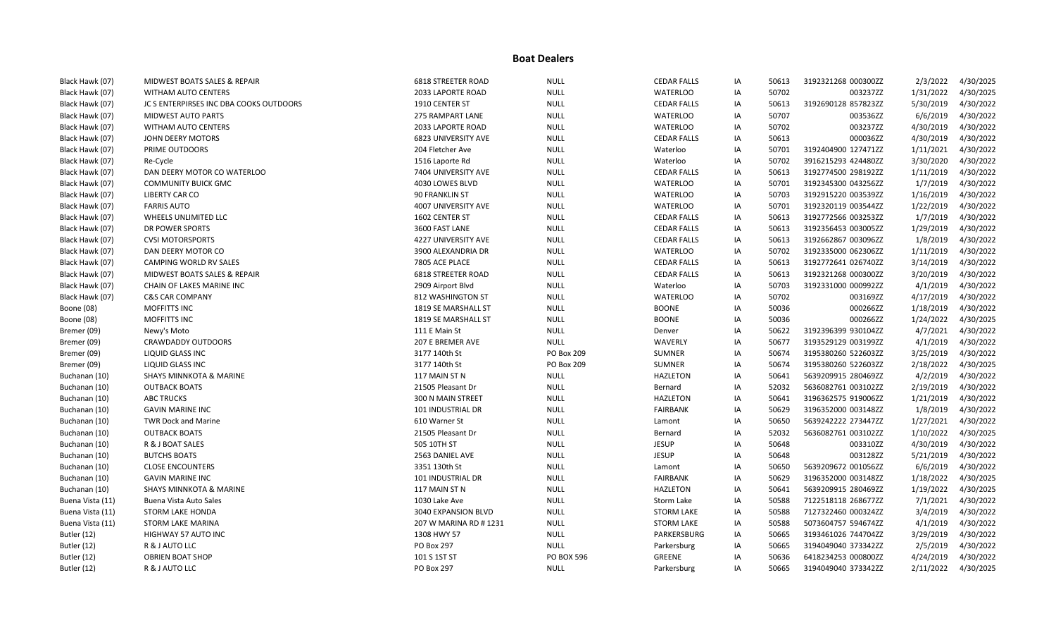| Black Hawk (07)  | MIDWEST BOATS SALES & REPAIR            | <b>6818 STREETER ROAD</b> | <b>NULL</b>       | <b>CEDAR FALLS</b> | ΙA | 50613 | 3192321268 000300ZZ | 2/3/2022  | 4/30/2025 |
|------------------|-----------------------------------------|---------------------------|-------------------|--------------------|----|-------|---------------------|-----------|-----------|
| Black Hawk (07)  | <b>WITHAM AUTO CENTERS</b>              | 2033 LAPORTE ROAD         | <b>NULL</b>       | <b>WATERLOO</b>    | ΙA | 50702 | 003237ZZ            | 1/31/2022 | 4/30/2025 |
| Black Hawk (07)  | JC S ENTERPIRSES INC DBA COOKS OUTDOORS | 1910 CENTER ST            | <b>NULL</b>       | <b>CEDAR FALLS</b> | ΙA | 50613 | 3192690128 857823ZZ | 5/30/2019 | 4/30/2022 |
| Black Hawk (07)  | <b>MIDWEST AUTO PARTS</b>               | 275 RAMPART LANE          | <b>NULL</b>       | <b>WATERLOO</b>    | IA | 50707 | 003536ZZ            | 6/6/2019  | 4/30/2022 |
| Black Hawk (07)  | <b>WITHAM AUTO CENTERS</b>              | 2033 LAPORTE ROAD         | <b>NULL</b>       | <b>WATERLOO</b>    | ΙA | 50702 | 003237ZZ            | 4/30/2019 | 4/30/2022 |
| Black Hawk (07)  | JOHN DEERY MOTORS                       | 6823 UNIVERSITY AVE       | <b>NULL</b>       | <b>CEDAR FALLS</b> | IA | 50613 | 000036ZZ            | 4/30/2019 | 4/30/2022 |
| Black Hawk (07)  | PRIME OUTDOORS                          | 204 Fletcher Ave          | <b>NULL</b>       | Waterloo           | ΙA | 50701 | 3192404900 127471ZZ | 1/11/2021 | 4/30/2022 |
| Black Hawk (07)  | Re-Cycle                                | 1516 Laporte Rd           | <b>NULL</b>       | Waterloo           | ΙA | 50702 | 3916215293 424480ZZ | 3/30/2020 | 4/30/2022 |
| Black Hawk (07)  | DAN DEERY MOTOR CO WATERLOO             | 7404 UNIVERSITY AVE       | <b>NULL</b>       | <b>CEDAR FALLS</b> | IA | 50613 | 3192774500 298192ZZ | 1/11/2019 | 4/30/2022 |
| Black Hawk (07)  | <b>COMMUNITY BUICK GMC</b>              | 4030 LOWES BLVD           | <b>NULL</b>       | <b>WATERLOO</b>    | ΙA | 50701 | 3192345300 043256ZZ | 1/7/2019  | 4/30/2022 |
| Black Hawk (07)  | <b>LIBERTY CAR CO</b>                   | 90 FRANKLIN ST            | <b>NULL</b>       | <b>WATERLOO</b>    | IA | 50703 | 3192915220 003539ZZ | 1/16/2019 | 4/30/2022 |
| Black Hawk (07)  | <b>FARRIS AUTO</b>                      | 4007 UNIVERSITY AVE       | <b>NULL</b>       | <b>WATERLOO</b>    | ΙA | 50701 | 3192320119 003544ZZ | 1/22/2019 | 4/30/2022 |
| Black Hawk (07)  | WHEELS UNLIMITED LLC                    | 1602 CENTER ST            | <b>NULL</b>       | <b>CEDAR FALLS</b> | ΙA | 50613 | 3192772566 003253ZZ | 1/7/2019  | 4/30/2022 |
| Black Hawk (07)  | DR POWER SPORTS                         | 3600 FAST LANE            | <b>NULL</b>       | <b>CEDAR FALLS</b> | IA | 50613 | 3192356453 003005ZZ | 1/29/2019 | 4/30/2022 |
| Black Hawk (07)  | <b>CVSI MOTORSPORTS</b>                 | 4227 UNIVERSITY AVE       | <b>NULL</b>       | <b>CEDAR FALLS</b> | IA | 50613 | 3192662867 003096ZZ | 1/8/2019  | 4/30/2022 |
| Black Hawk (07)  | DAN DEERY MOTOR CO                      | 3900 ALEXANDRIA DR        | <b>NULL</b>       | <b>WATERLOO</b>    | ΙA | 50702 | 3192335000 062306ZZ | 1/11/2019 | 4/30/2022 |
| Black Hawk (07)  | CAMPING WORLD RV SALES                  | 7805 ACE PLACE            | <b>NULL</b>       | <b>CEDAR FALLS</b> | ΙA | 50613 | 3192772641 026740ZZ | 3/14/2019 | 4/30/2022 |
| Black Hawk (07)  | MIDWEST BOATS SALES & REPAIR            | <b>6818 STREETER ROAD</b> | <b>NULL</b>       | <b>CEDAR FALLS</b> | ΙA | 50613 | 3192321268 000300ZZ | 3/20/2019 | 4/30/2022 |
| Black Hawk (07)  | <b>CHAIN OF LAKES MARINE INC</b>        | 2909 Airport Blvd         | <b>NULL</b>       | Waterloo           | IA | 50703 | 3192331000 000992ZZ | 4/1/2019  | 4/30/2022 |
| Black Hawk (07)  | <b>C&amp;S CAR COMPANY</b>              | 812 WASHINGTON ST         | <b>NULL</b>       | <b>WATERLOO</b>    | IA | 50702 | 003169ZZ            | 4/17/2019 | 4/30/2022 |
| Boone (08)       | MOFFITTS INC                            | 1819 SE MARSHALL ST       | <b>NULL</b>       | <b>BOONE</b>       | IA | 50036 | 000266ZZ            | 1/18/2019 | 4/30/2022 |
| Boone (08)       | MOFFITTS INC                            | 1819 SE MARSHALL ST       | <b>NULL</b>       | <b>BOONE</b>       | IA | 50036 | 000266ZZ            | 1/24/2022 | 4/30/2025 |
| Bremer (09)      | Newy's Moto                             | 111 E Main St             | <b>NULL</b>       | Denver             | IA | 50622 | 3192396399 930104ZZ | 4/7/2021  | 4/30/2022 |
| Bremer (09)      | <b>CRAWDADDY OUTDOORS</b>               | 207 E BREMER AVE          | <b>NULL</b>       | WAVERLY            | ΙA | 50677 | 3193529129 003199ZZ | 4/1/2019  | 4/30/2022 |
| Bremer (09)      | LIQUID GLASS INC                        | 3177 140th St             | PO Box 209        | <b>SUMNER</b>      | IA | 50674 | 3195380260 522603ZZ | 3/25/2019 | 4/30/2022 |
| Bremer (09)      | LIQUID GLASS INC                        | 3177 140th St             | PO Box 209        | <b>SUMNER</b>      | IA | 50674 | 3195380260 522603ZZ | 2/18/2022 | 4/30/2025 |
| Buchanan (10)    | <b>SHAYS MINNKOTA &amp; MARINE</b>      | 117 MAIN ST N             | <b>NULL</b>       | <b>HAZLETON</b>    | IA | 50641 | 5639209915 280469ZZ | 4/2/2019  | 4/30/2022 |
| Buchanan (10)    | <b>OUTBACK BOATS</b>                    | 21505 Pleasant Dr         | <b>NULL</b>       | Bernard            | IA | 52032 | 5636082761 003102ZZ | 2/19/2019 | 4/30/2022 |
| Buchanan (10)    | <b>ABC TRUCKS</b>                       | 300 N MAIN STREET         | <b>NULL</b>       | <b>HAZLETON</b>    | ΙA | 50641 | 3196362575 919006ZZ | 1/21/2019 | 4/30/2022 |
| Buchanan (10)    | <b>GAVIN MARINE INC</b>                 | 101 INDUSTRIAL DR         | <b>NULL</b>       | <b>FAIRBANK</b>    | IA | 50629 | 3196352000 003148ZZ | 1/8/2019  | 4/30/2022 |
| Buchanan (10)    | <b>TWR Dock and Marine</b>              | 610 Warner St             | <b>NULL</b>       | Lamont             | IA | 50650 | 5639242222 273447ZZ | 1/27/2021 | 4/30/2022 |
| Buchanan (10)    | <b>OUTBACK BOATS</b>                    | 21505 Pleasant Dr         | <b>NULL</b>       | Bernard            | ΙA | 52032 | 5636082761 003102ZZ | 1/10/2022 | 4/30/2025 |
| Buchanan (10)    | R & J BOAT SALES                        | 505 10TH ST               | <b>NULL</b>       | <b>JESUP</b>       | IA | 50648 | 003310ZZ            | 4/30/2019 | 4/30/2022 |
| Buchanan (10)    | <b>BUTCHS BOATS</b>                     | 2563 DANIEL AVE           | <b>NULL</b>       | <b>JESUP</b>       | ΙA | 50648 | 003128ZZ            | 5/21/2019 | 4/30/2022 |
| Buchanan (10)    | <b>CLOSE ENCOUNTERS</b>                 | 3351 130th St             | <b>NULL</b>       | Lamont             | ΙA | 50650 | 5639209672 001056ZZ | 6/6/2019  | 4/30/2022 |
| Buchanan (10)    | <b>GAVIN MARINE INC</b>                 | 101 INDUSTRIAL DR         | <b>NULL</b>       | <b>FAIRBANK</b>    | IA | 50629 | 3196352000 003148ZZ | 1/18/2022 | 4/30/2025 |
| Buchanan (10)    | <b>SHAYS MINNKOTA &amp; MARINE</b>      | 117 MAIN ST N             | <b>NULL</b>       | <b>HAZLETON</b>    | ΙA | 50641 | 5639209915 280469ZZ | 1/19/2022 | 4/30/2025 |
| Buena Vista (11) | <b>Buena Vista Auto Sales</b>           | 1030 Lake Ave             | <b>NULL</b>       | Storm Lake         | IA | 50588 | 7122518118 268677ZZ | 7/1/2021  | 4/30/2022 |
| Buena Vista (11) | <b>STORM LAKE HONDA</b>                 | 3040 EXPANSION BLVD       | <b>NULL</b>       | <b>STORM LAKE</b>  | IA | 50588 | 7127322460 000324ZZ | 3/4/2019  | 4/30/2022 |
| Buena Vista (11) | STORM LAKE MARINA                       | 207 W MARINA RD # 1231    | <b>NULL</b>       | <b>STORM LAKE</b>  | ΙA | 50588 | 5073604757 594674ZZ | 4/1/2019  | 4/30/2022 |
| Butler (12)      | HIGHWAY 57 AUTO INC                     | 1308 HWY 57               | <b>NULL</b>       | PARKERSBURG        | IA | 50665 | 3193461026 744704ZZ | 3/29/2019 | 4/30/2022 |
| Butler (12)      | R & J AUTO LLC                          | PO Box 297                | <b>NULL</b>       | Parkersburg        | ΙA | 50665 | 3194049040 373342ZZ | 2/5/2019  | 4/30/2022 |
| Butler (12)      | <b>OBRIEN BOAT SHOP</b>                 | 101 S 1ST ST              | <b>PO BOX 596</b> | GREENE             | IA | 50636 | 6418234253 000800ZZ | 4/24/2019 | 4/30/2022 |
| Butler (12)      | R & J AUTO LLC                          | <b>PO Box 297</b>         | <b>NULL</b>       | Parkersburg        | IA | 50665 | 3194049040 373342ZZ | 2/11/2022 | 4/30/2025 |
|                  |                                         |                           |                   |                    |    |       |                     |           |           |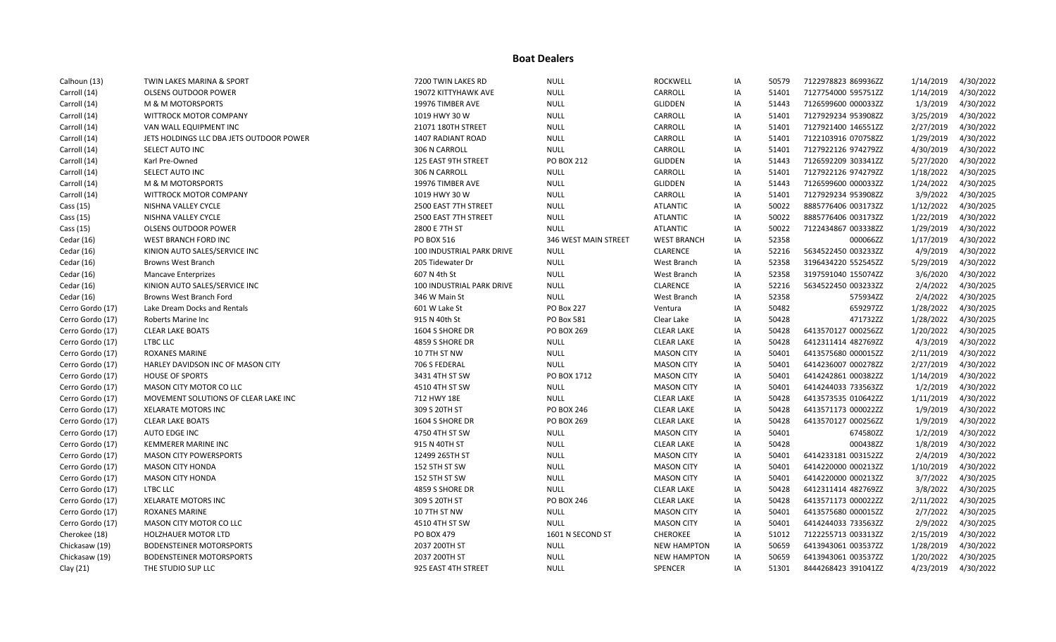| Calhoun (13)     | TWIN LAKES MARINA & SPORT                | 7200 TWIN LAKES RD               | <b>NULL</b>          | <b>ROCKWELL</b>    | IA | 50579 | 7122978823 869936ZZ | 1/14/2019 | 4/30/2022 |
|------------------|------------------------------------------|----------------------------------|----------------------|--------------------|----|-------|---------------------|-----------|-----------|
| Carroll (14)     | <b>OLSENS OUTDOOR POWER</b>              | 19072 KITTYHAWK AVE              | <b>NULL</b>          | CARROLL            | ΙA | 51401 | 7127754000 595751ZZ | 1/14/2019 | 4/30/2022 |
| Carroll (14)     | M & M MOTORSPORTS                        | 19976 TIMBER AVE                 | <b>NULL</b>          | <b>GLIDDEN</b>     | IA | 51443 | 7126599600 000033ZZ | 1/3/2019  | 4/30/2022 |
| Carroll (14)     | WITTROCK MOTOR COMPANY                   | 1019 HWY 30 W                    | <b>NULL</b>          | CARROLL            | IA | 51401 | 7127929234 953908ZZ | 3/25/2019 | 4/30/2022 |
| Carroll (14)     | VAN WALL EQUIPMENT INC                   | 21071 180TH STREET               | <b>NULL</b>          | CARROLL            | IA | 51401 | 7127921400 146551ZZ | 2/27/2019 | 4/30/2022 |
| Carroll (14)     | JETS HOLDINGS LLC DBA JETS OUTDOOR POWER | 1407 RADIANT ROAD                | <b>NULL</b>          | CARROLL            | IA | 51401 | 7122103916 070758ZZ | 1/29/2019 | 4/30/2022 |
| Carroll (14)     | SELECT AUTO INC                          | 306 N CARROLL                    | <b>NULL</b>          | CARROLL            | IA | 51401 | 7127922126 974279ZZ | 4/30/2019 | 4/30/2022 |
| Carroll (14)     | Karl Pre-Owned                           | 125 EAST 9TH STREET              | PO BOX 212           | GLIDDEN            | IA | 51443 | 7126592209 303341ZZ | 5/27/2020 | 4/30/2022 |
| Carroll (14)     | SELECT AUTO INC                          | 306 N CARROLL                    | <b>NULL</b>          | CARROLL            | IA | 51401 | 7127922126 974279ZZ | 1/18/2022 | 4/30/2025 |
| Carroll (14)     | <b>M &amp; M MOTORSPORTS</b>             | 19976 TIMBER AVE                 | <b>NULL</b>          | <b>GLIDDEN</b>     | IA | 51443 | 7126599600 000033ZZ | 1/24/2022 | 4/30/2025 |
| Carroll (14)     | WITTROCK MOTOR COMPANY                   | 1019 HWY 30 W                    | <b>NULL</b>          | CARROLL            | IA | 51401 | 7127929234 953908ZZ | 3/9/2022  | 4/30/2025 |
| Cass (15)        | NISHNA VALLEY CYCLE                      | 2500 EAST 7TH STREET             | <b>NULL</b>          | <b>ATLANTIC</b>    | IA | 50022 | 8885776406 003173ZZ | 1/12/2022 | 4/30/2025 |
| Cass (15)        | NISHNA VALLEY CYCLE                      | 2500 EAST 7TH STREET             | <b>NULL</b>          | <b>ATLANTIC</b>    | IA | 50022 | 8885776406 003173ZZ | 1/22/2019 | 4/30/2022 |
| Cass (15)        | <b>OLSENS OUTDOOR POWER</b>              | 2800 E 7TH ST                    | <b>NULL</b>          | <b>ATLANTIC</b>    | IA | 50022 | 7122434867 003338ZZ | 1/29/2019 | 4/30/2022 |
| Cedar (16)       | WEST BRANCH FORD INC                     | PO BOX 516                       | 346 WEST MAIN STREET | <b>WEST BRANCH</b> | IA | 52358 | 000066ZZ            | 1/17/2019 | 4/30/2022 |
| Cedar (16)       | KINION AUTO SALES/SERVICE INC            | 100 INDUSTRIAL PARK DRIVE        | <b>NULL</b>          | CLARENCE           | IA | 52216 | 5634522450 003233ZZ | 4/9/2019  | 4/30/2022 |
| Cedar (16)       | <b>Browns West Branch</b>                | 205 Tidewater Dr                 | <b>NULL</b>          | West Branch        | IA | 52358 | 3196434220 552545ZZ | 5/29/2019 | 4/30/2022 |
| Cedar (16)       | <b>Mancave Enterprizes</b>               | 607 N 4th St                     | <b>NULL</b>          | West Branch        | IA | 52358 | 3197591040 155074ZZ | 3/6/2020  | 4/30/2022 |
| Cedar (16)       | KINION AUTO SALES/SERVICE INC            | <b>100 INDUSTRIAL PARK DRIVE</b> | <b>NULL</b>          | <b>CLARENCE</b>    | IA | 52216 | 5634522450 003233ZZ | 2/4/2022  | 4/30/2025 |
| Cedar (16)       | Browns West Branch Ford                  | 346 W Main St                    | <b>NULL</b>          | West Branch        | IA | 52358 | 575934ZZ            | 2/4/2022  | 4/30/2025 |
| Cerro Gordo (17) | Lake Dream Docks and Rentals             | 601 W Lake St                    | <b>PO Box 227</b>    | Ventura            | IA | 50482 | 659297ZZ            | 1/28/2022 | 4/30/2025 |
| Cerro Gordo (17) | Roberts Marine Inc                       | 915 N 40th St                    | <b>PO Box 581</b>    | Clear Lake         | IA | 50428 | 471732ZZ            | 1/28/2022 | 4/30/2025 |
| Cerro Gordo (17) | <b>CLEAR LAKE BOATS</b>                  | 1604 S SHORE DR                  | PO BOX 269           | <b>CLEAR LAKE</b>  | IA | 50428 | 6413570127 000256ZZ | 1/20/2022 | 4/30/2025 |
| Cerro Gordo (17) | LTBC LLC                                 | 4859 S SHORE DR                  | <b>NULL</b>          | <b>CLEAR LAKE</b>  | IA | 50428 | 6412311414 482769ZZ | 4/3/2019  | 4/30/2022 |
| Cerro Gordo (17) | <b>ROXANES MARINE</b>                    | 10 7TH ST NW                     | <b>NULL</b>          | <b>MASON CITY</b>  | IA | 50401 | 6413575680 000015ZZ | 2/11/2019 | 4/30/2022 |
| Cerro Gordo (17) | HARLEY DAVIDSON INC OF MASON CITY        | 706 S FEDERAL                    | <b>NULL</b>          | <b>MASON CITY</b>  | IA | 50401 | 6414236007 000278ZZ | 2/27/2019 | 4/30/2022 |
| Cerro Gordo (17) | <b>HOUSE OF SPORTS</b>                   | 3431 4TH ST SW                   | PO BOX 1712          | <b>MASON CITY</b>  | IA | 50401 | 6414242861 000382ZZ | 1/14/2019 | 4/30/2022 |
| Cerro Gordo (17) | MASON CITY MOTOR CO LLC                  | 4510 4TH ST SW                   | <b>NULL</b>          | <b>MASON CITY</b>  | IA | 50401 | 6414244033 733563ZZ | 1/2/2019  | 4/30/2022 |
| Cerro Gordo (17) | MOVEMENT SOLUTIONS OF CLEAR LAKE INC     | 712 HWY 18E                      | <b>NULL</b>          | <b>CLEAR LAKE</b>  | IA | 50428 | 6413573535 010642ZZ | 1/11/2019 | 4/30/2022 |
| Cerro Gordo (17) | <b>XELARATE MOTORS INC</b>               | 309 S 20TH ST                    | PO BOX 246           | <b>CLEAR LAKE</b>  | IA | 50428 | 6413571173 000022ZZ | 1/9/2019  | 4/30/2022 |
| Cerro Gordo (17) | <b>CLEAR LAKE BOATS</b>                  | 1604 S SHORE DR                  | PO BOX 269           | <b>CLEAR LAKE</b>  | IA | 50428 | 6413570127 000256ZZ | 1/9/2019  | 4/30/2022 |
| Cerro Gordo (17) | AUTO EDGE INC                            | 4750 4TH ST SW                   | <b>NULL</b>          | <b>MASON CITY</b>  | IA | 50401 | 674580ZZ            | 1/2/2019  | 4/30/2022 |
| Cerro Gordo (17) | <b>KEMMERER MARINE INC</b>               | 915 N 40TH ST                    | <b>NULL</b>          | <b>CLEAR LAKE</b>  | IA | 50428 | 000438ZZ            | 1/8/2019  | 4/30/2022 |
| Cerro Gordo (17) | <b>MASON CITY POWERSPORTS</b>            | 12499 265TH ST                   | <b>NULL</b>          | <b>MASON CITY</b>  | IA | 50401 | 6414233181 003152ZZ | 2/4/2019  | 4/30/2022 |
| Cerro Gordo (17) | <b>MASON CITY HONDA</b>                  | 152 5TH ST SW                    | <b>NULL</b>          | <b>MASON CITY</b>  | IA | 50401 | 6414220000 000213ZZ | 1/10/2019 | 4/30/2022 |
| Cerro Gordo (17) | <b>MASON CITY HONDA</b>                  | 152 5TH ST SW                    | <b>NULL</b>          | <b>MASON CITY</b>  | IA | 50401 | 6414220000 000213ZZ | 3/7/2022  | 4/30/2025 |
| Cerro Gordo (17) | LTBC LLC                                 | 4859 S SHORE DR                  | <b>NULL</b>          | <b>CLEAR LAKE</b>  | IA | 50428 | 6412311414 482769ZZ | 3/8/2022  | 4/30/2025 |
| Cerro Gordo (17) | <b>XELARATE MOTORS INC</b>               | 309 S 20TH ST                    | PO BOX 246           | <b>CLEAR LAKE</b>  | IA | 50428 | 6413571173 000022ZZ | 2/11/2022 | 4/30/2025 |
| Cerro Gordo (17) | <b>ROXANES MARINE</b>                    | 10 7TH ST NW                     | <b>NULL</b>          | <b>MASON CITY</b>  | IA | 50401 | 6413575680 000015ZZ | 2/7/2022  | 4/30/2025 |
| Cerro Gordo (17) | MASON CITY MOTOR CO LLC                  | 4510 4TH ST SW                   | <b>NULL</b>          | <b>MASON CITY</b>  | IA | 50401 | 6414244033 733563ZZ | 2/9/2022  | 4/30/2025 |
| Cherokee (18)    | <b>HOLZHAUER MOTOR LTD</b>               | PO BOX 479                       | 1601 N SECOND ST     | <b>CHEROKEE</b>    | IA | 51012 | 7122255713 003313ZZ | 2/15/2019 | 4/30/2022 |
| Chickasaw (19)   | <b>BODENSTEINER MOTORSPORTS</b>          | 2037 200TH ST                    | <b>NULL</b>          | <b>NEW HAMPTON</b> | IA | 50659 | 6413943061 003537ZZ | 1/28/2019 | 4/30/2022 |
| Chickasaw (19)   | <b>BODENSTEINER MOTORSPORTS</b>          | 2037 200TH ST                    | <b>NULL</b>          | <b>NEW HAMPTON</b> | IA | 50659 | 6413943061 003537ZZ | 1/20/2022 | 4/30/2025 |
| Clay (21)        | THE STUDIO SUP LLC                       | 925 EAST 4TH STREET              | <b>NULL</b>          | SPENCER            | IA | 51301 | 8444268423 391041ZZ | 4/23/2019 | 4/30/2022 |
|                  |                                          |                                  |                      |                    |    |       |                     |           |           |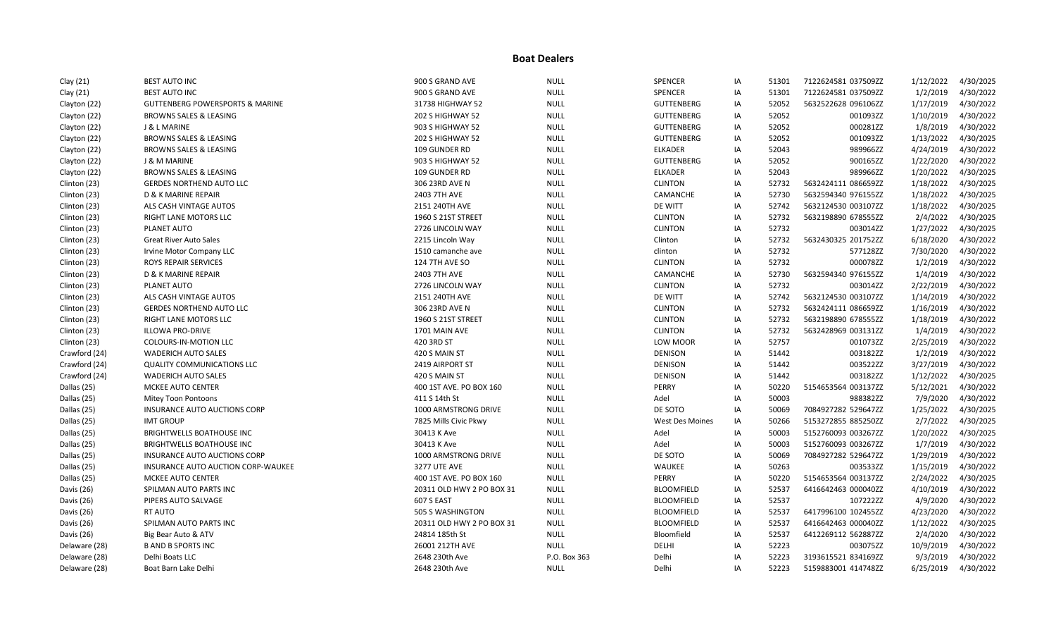| Clay (21)     | <b>BEST AUTO INC</b>                       | 900 S GRAND AVE           | <b>NULL</b>  | SPENCER                | IA | 51301 | 7122624581 037509ZZ | 1/12/2022 | 4/30/2025 |
|---------------|--------------------------------------------|---------------------------|--------------|------------------------|----|-------|---------------------|-----------|-----------|
| Clay (21)     | <b>BEST AUTO INC</b>                       | 900 S GRAND AVE           | <b>NULL</b>  | SPENCER                | IA | 51301 | 7122624581 037509ZZ | 1/2/2019  | 4/30/2022 |
| Clayton (22)  | <b>GUTTENBERG POWERSPORTS &amp; MARINE</b> | 31738 HIGHWAY 52          | <b>NULL</b>  | <b>GUTTENBERG</b>      | IA | 52052 | 5632522628 096106ZZ | 1/17/2019 | 4/30/2022 |
| Clayton (22)  | <b>BROWNS SALES &amp; LEASING</b>          | 202 S HIGHWAY 52          | <b>NULL</b>  | <b>GUTTENBERG</b>      | IA | 52052 | 001093ZZ            | 1/10/2019 | 4/30/2022 |
| Clayton (22)  | <b>J &amp; L MARINE</b>                    | 903 S HIGHWAY 52          | <b>NULL</b>  | <b>GUTTENBERG</b>      | IA | 52052 | 000281ZZ            | 1/8/2019  | 4/30/2022 |
| Clayton (22)  | <b>BROWNS SALES &amp; LEASING</b>          | 202 S HIGHWAY 52          | <b>NULL</b>  | <b>GUTTENBERG</b>      | IA | 52052 | 001093ZZ            | 1/13/2022 | 4/30/2025 |
| Clayton (22)  | BROWNS SALES & LEASING                     | 109 GUNDER RD             | <b>NULL</b>  | <b>ELKADER</b>         | IA | 52043 | 989966ZZ            | 4/24/2019 | 4/30/2022 |
| Clayton (22)  | <b>J &amp; M MARINE</b>                    | 903 S HIGHWAY 52          | <b>NULL</b>  | <b>GUTTENBERG</b>      | IA | 52052 | 900165ZZ            | 1/22/2020 | 4/30/2022 |
| Clayton (22)  | <b>BROWNS SALES &amp; LEASING</b>          | 109 GUNDER RD             | <b>NULL</b>  | <b>ELKADER</b>         | IA | 52043 | 989966ZZ            | 1/20/2022 | 4/30/2025 |
| Clinton (23)  | <b>GERDES NORTHEND AUTO LLC</b>            | 306 23RD AVE N            | <b>NULL</b>  | <b>CLINTON</b>         | IA | 52732 | 5632424111 086659ZZ | 1/18/2022 | 4/30/2025 |
| Clinton (23)  | D & K MARINE REPAIR                        | 2403 7TH AVE              | <b>NULL</b>  | CAMANCHE               | IA | 52730 | 5632594340 976155ZZ | 1/18/2022 | 4/30/2025 |
| Clinton (23)  | ALS CASH VINTAGE AUTOS                     | 2151 240TH AVE            | <b>NULL</b>  | DE WITT                | IA | 52742 | 5632124530 003107ZZ | 1/18/2022 | 4/30/2025 |
| Clinton (23)  | RIGHT LANE MOTORS LLC                      | 1960 S 21ST STREET        | <b>NULL</b>  | <b>CLINTON</b>         | IA | 52732 | 5632198890 678555ZZ | 2/4/2022  | 4/30/2025 |
| Clinton (23)  | PLANET AUTO                                | 2726 LINCOLN WAY          | <b>NULL</b>  | <b>CLINTON</b>         | IA | 52732 | 003014ZZ            | 1/27/2022 | 4/30/2025 |
| Clinton (23)  | <b>Great River Auto Sales</b>              | 2215 Lincoln Way          | <b>NULL</b>  | Clinton                | IA | 52732 | 5632430325 201752ZZ | 6/18/2020 | 4/30/2022 |
| Clinton (23)  | Irvine Motor Company LLC                   | 1510 camanche ave         | <b>NULL</b>  | clinton                | IA | 52732 | 577128ZZ            | 7/30/2020 | 4/30/2022 |
| Clinton (23)  | ROYS REPAIR SERVICES                       | <b>124 7TH AVE SO</b>     | <b>NULL</b>  | <b>CLINTON</b>         | IA | 52732 | 000078ZZ            | 1/2/2019  | 4/30/2022 |
| Clinton (23)  | D & K MARINE REPAIR                        | 2403 7TH AVE              | <b>NULL</b>  | CAMANCHE               | IA | 52730 | 5632594340 976155ZZ | 1/4/2019  | 4/30/2022 |
| Clinton (23)  | PLANET AUTO                                | 2726 LINCOLN WAY          | <b>NULL</b>  | <b>CLINTON</b>         | IA | 52732 | 003014ZZ            | 2/22/2019 | 4/30/2022 |
| Clinton (23)  | ALS CASH VINTAGE AUTOS                     | 2151 240TH AVE            | <b>NULL</b>  | DE WITT                | IA | 52742 | 5632124530 003107ZZ | 1/14/2019 | 4/30/2022 |
| Clinton (23)  | <b>GERDES NORTHEND AUTO LLC</b>            | 306 23RD AVE N            | <b>NULL</b>  | <b>CLINTON</b>         | IA | 52732 | 5632424111 086659ZZ | 1/16/2019 | 4/30/2022 |
| Clinton (23)  | RIGHT LANE MOTORS LLC                      | 1960 S 21ST STREET        | <b>NULL</b>  | <b>CLINTON</b>         | IA | 52732 | 5632198890 678555ZZ | 1/18/2019 | 4/30/2022 |
| Clinton (23)  | <b>ILLOWA PRO-DRIVE</b>                    | 1701 MAIN AVE             | <b>NULL</b>  | <b>CLINTON</b>         | IA | 52732 | 5632428969 003131ZZ | 1/4/2019  | 4/30/2022 |
| Clinton (23)  | <b>COLOURS-IN-MOTION LLC</b>               | 420 3RD ST                | <b>NULL</b>  | LOW MOOR               | IA | 52757 | 001073ZZ            | 2/25/2019 | 4/30/2022 |
| Crawford (24) | <b>WADERICH AUTO SALES</b>                 | 420 S MAIN ST             | <b>NULL</b>  | <b>DENISON</b>         | IA | 51442 | 003182ZZ            | 1/2/2019  | 4/30/2022 |
| Crawford (24) | <b>QUALITY COMMUNICATIONS LLC</b>          | 2419 AIRPORT ST           | <b>NULL</b>  | <b>DENISON</b>         | IA | 51442 | 003522ZZ            | 3/27/2019 | 4/30/2022 |
| Crawford (24) | <b>WADERICH AUTO SALES</b>                 | 420 S MAIN ST             | <b>NULL</b>  | <b>DENISON</b>         | IA | 51442 | 003182ZZ            | 1/12/2022 | 4/30/2025 |
| Dallas (25)   | MCKEE AUTO CENTER                          | 400 1ST AVE. PO BOX 160   | <b>NULL</b>  | PERRY                  | IA | 50220 | 5154653564 003137ZZ | 5/12/2021 | 4/30/2022 |
| Dallas (25)   | <b>Mitey Toon Pontoons</b>                 | 411 S 14th St             | <b>NULL</b>  | Adel                   | IA | 50003 | 988382ZZ            | 7/9/2020  | 4/30/2022 |
| Dallas (25)   | INSURANCE AUTO AUCTIONS CORP               | 1000 ARMSTRONG DRIVE      | <b>NULL</b>  | DE SOTO                | IA | 50069 | 7084927282 529647ZZ | 1/25/2022 | 4/30/2025 |
| Dallas (25)   | <b>IMT GROUP</b>                           | 7825 Mills Civic Pkwy     | <b>NULL</b>  | <b>West Des Moines</b> | IA | 50266 | 5153272855 885250ZZ | 2/7/2022  | 4/30/2025 |
| Dallas (25)   | BRIGHTWELLS BOATHOUSE INC                  | 30413 K Ave               | <b>NULL</b>  | Adel                   | IA | 50003 | 5152760093 003267ZZ | 1/20/2022 | 4/30/2025 |
| Dallas (25)   | <b>BRIGHTWELLS BOATHOUSE INC</b>           | 30413 K Ave               | <b>NULL</b>  | Adel                   | IA | 50003 | 5152760093 003267ZZ | 1/7/2019  | 4/30/2022 |
| Dallas (25)   | <b>INSURANCE AUTO AUCTIONS CORP</b>        | 1000 ARMSTRONG DRIVE      | <b>NULL</b>  | DE SOTO                | IA | 50069 | 7084927282 529647ZZ | 1/29/2019 | 4/30/2022 |
| Dallas (25)   | INSURANCE AUTO AUCTION CORP-WAUKEE         | <b>3277 UTE AVE</b>       | <b>NULL</b>  | WAUKEE                 | IA | 50263 | 003533ZZ            | 1/15/2019 | 4/30/2022 |
| Dallas (25)   | MCKEE AUTO CENTER                          | 400 1ST AVE. PO BOX 160   | <b>NULL</b>  | PERRY                  | IA | 50220 | 5154653564 003137ZZ | 2/24/2022 | 4/30/2025 |
| Davis (26)    | SPILMAN AUTO PARTS INC                     | 20311 OLD HWY 2 PO BOX 31 | <b>NULL</b>  | <b>BLOOMFIELD</b>      | IA | 52537 | 6416642463 000040ZZ | 4/10/2019 | 4/30/2022 |
| Davis (26)    | PIPERS AUTO SALVAGE                        | 607 S EAST                | <b>NULL</b>  | <b>BLOOMFIELD</b>      | IA | 52537 | 107222ZZ            | 4/9/2020  | 4/30/2022 |
| Davis (26)    | RT AUTO                                    | 505 S WASHINGTON          | <b>NULL</b>  | <b>BLOOMFIELD</b>      | IA | 52537 | 6417996100 102455ZZ | 4/23/2020 | 4/30/2022 |
| Davis (26)    | SPILMAN AUTO PARTS INC                     | 20311 OLD HWY 2 PO BOX 31 | <b>NULL</b>  | <b>BLOOMFIELD</b>      | IA | 52537 | 6416642463 000040ZZ | 1/12/2022 | 4/30/2025 |
| Davis (26)    | Big Bear Auto & ATV                        | 24814 185th St            | <b>NULL</b>  | Bloomfield             | IA | 52537 | 6412269112 562887ZZ | 2/4/2020  | 4/30/2022 |
| Delaware (28) | <b>B AND B SPORTS INC</b>                  | 26001 212TH AVE           | <b>NULL</b>  | DELHI                  | IA | 52223 | 003075ZZ            | 10/9/2019 | 4/30/2022 |
| Delaware (28) | Delhi Boats LLC                            | 2648 230th Ave            | P.O. Box 363 | Delhi                  | IA | 52223 | 3193615521 834169ZZ | 9/3/2019  | 4/30/2022 |
| Delaware (28) | Boat Barn Lake Delhi                       | 2648 230th Ave            | <b>NULL</b>  | Delhi                  | IA | 52223 | 5159883001 414748ZZ | 6/25/2019 | 4/30/2022 |
|               |                                            |                           |              |                        |    |       |                     |           |           |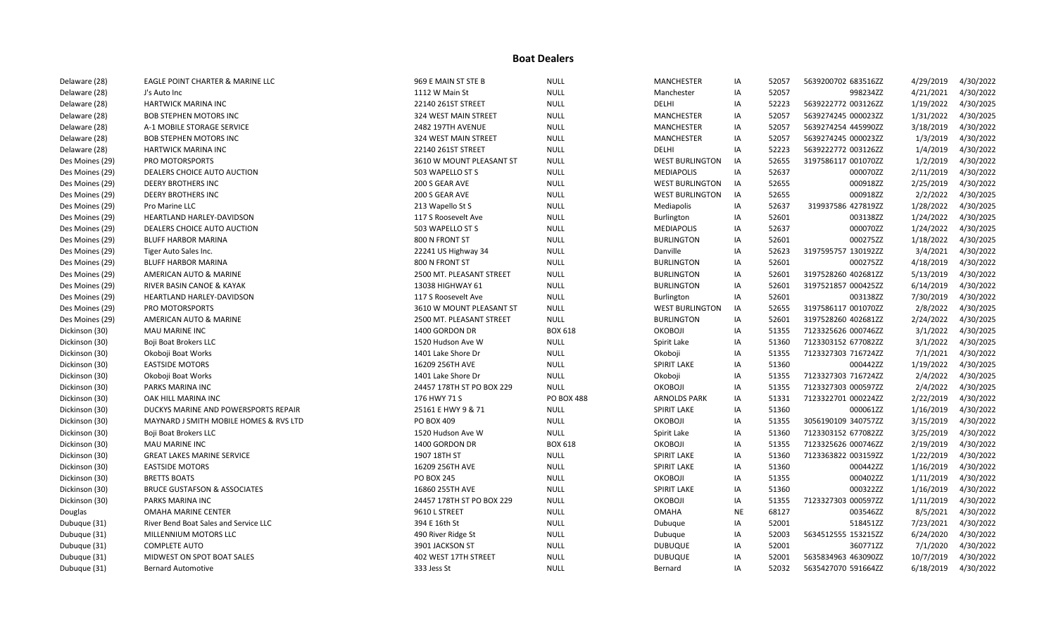| Delaware (28)   | EAGLE POINT CHARTER & MARINE LLC        | 969 E MAIN ST STE B       | <b>NULL</b>       | <b>MANCHESTER</b>      | IA        | 52057 | 5639200702 683516ZZ | 4/29/2019 | 4/30/2022 |
|-----------------|-----------------------------------------|---------------------------|-------------------|------------------------|-----------|-------|---------------------|-----------|-----------|
| Delaware (28)   | J's Auto Inc                            | 1112 W Main St            | <b>NULL</b>       | Manchester             | IA        | 52057 | 998234ZZ            | 4/21/2021 | 4/30/2022 |
| Delaware (28)   | <b>HARTWICK MARINA INC</b>              | 22140 261ST STREET        | <b>NULL</b>       | DELHI                  | IA        | 52223 | 5639222772 003126ZZ | 1/19/2022 | 4/30/2025 |
| Delaware (28)   | <b>BOB STEPHEN MOTORS INC</b>           | 324 WEST MAIN STREET      | <b>NULL</b>       | MANCHESTER             | IA        | 52057 | 5639274245 000023ZZ | 1/31/2022 | 4/30/2025 |
| Delaware (28)   | A-1 MOBILE STORAGE SERVICE              | 2482 197TH AVENUE         | <b>NULL</b>       | <b>MANCHESTER</b>      | IA        | 52057 | 5639274254 445990ZZ | 3/18/2019 | 4/30/2022 |
| Delaware (28)   | <b>BOB STEPHEN MOTORS INC</b>           | 324 WEST MAIN STREET      | <b>NULL</b>       | <b>MANCHESTER</b>      | IA        | 52057 | 5639274245 000023ZZ | 1/3/2019  | 4/30/2022 |
| Delaware (28)   | <b>HARTWICK MARINA INC</b>              | 22140 261ST STREET        | <b>NULL</b>       | DELHI                  | IA        | 52223 | 5639222772 003126ZZ | 1/4/2019  | 4/30/2022 |
| Des Moines (29) | PRO MOTORSPORTS                         | 3610 W MOUNT PLEASANT ST  | <b>NULL</b>       | <b>WEST BURLINGTON</b> | IA        | 52655 | 3197586117 001070ZZ | 1/2/2019  | 4/30/2022 |
| Des Moines (29) | DEALERS CHOICE AUTO AUCTION             | 503 WAPELLO ST S          | <b>NULL</b>       | <b>MEDIAPOLIS</b>      | IA        | 52637 | 000070ZZ            | 2/11/2019 | 4/30/2022 |
| Des Moines (29) | <b>DEERY BROTHERS INC</b>               | 200 S GEAR AVE            | <b>NULL</b>       | <b>WEST BURLINGTON</b> | IA        | 52655 | 000918ZZ            | 2/25/2019 | 4/30/2022 |
| Des Moines (29) | <b>DEERY BROTHERS INC</b>               | 200 S GEAR AVE            | <b>NULL</b>       | <b>WEST BURLINGTON</b> | IA        | 52655 | 000918ZZ            | 2/2/2022  | 4/30/2025 |
| Des Moines (29) | Pro Marine LLC                          | 213 Wapello St S          | <b>NULL</b>       | Mediapolis             | IA        | 52637 | 319937586 427819ZZ  | 1/28/2022 | 4/30/2025 |
| Des Moines (29) | HEARTLAND HARLEY-DAVIDSON               | 117 S Roosevelt Ave       | <b>NULL</b>       | Burlington             | IA        | 52601 | 003138ZZ            | 1/24/2022 | 4/30/2025 |
| Des Moines (29) | DEALERS CHOICE AUTO AUCTION             | 503 WAPELLO ST S          | <b>NULL</b>       | <b>MEDIAPOLIS</b>      | IA        | 52637 | 000070ZZ            | 1/24/2022 | 4/30/2025 |
| Des Moines (29) | <b>BLUFF HARBOR MARINA</b>              | 800 N FRONT ST            | <b>NULL</b>       | <b>BURLINGTON</b>      | IA        | 52601 | 000275ZZ            | 1/18/2022 | 4/30/2025 |
| Des Moines (29) | Tiger Auto Sales Inc.                   | 22241 US Highway 34       | <b>NULL</b>       | Danville               | IA        | 52623 | 3197595757 130192ZZ | 3/4/2021  | 4/30/2022 |
| Des Moines (29) | BLUFF HARBOR MARINA                     | 800 N FRONT ST            | <b>NULL</b>       | <b>BURLINGTON</b>      | IA        | 52601 | 000275ZZ            | 4/18/2019 | 4/30/2022 |
| Des Moines (29) | AMERICAN AUTO & MARINE                  | 2500 MT. PLEASANT STREET  | <b>NULL</b>       | <b>BURLINGTON</b>      | IA        | 52601 | 3197528260 402681ZZ | 5/13/2019 | 4/30/2022 |
| Des Moines (29) | RIVER BASIN CANOE & KAYAK               | 13038 HIGHWAY 61          | <b>NULL</b>       | <b>BURLINGTON</b>      | IA        | 52601 | 3197521857 000425ZZ | 6/14/2019 | 4/30/2022 |
| Des Moines (29) | HEARTLAND HARLEY-DAVIDSON               | 117 S Roosevelt Ave       | <b>NULL</b>       | Burlington             | IA        | 52601 | 003138ZZ            | 7/30/2019 | 4/30/2022 |
| Des Moines (29) | PRO MOTORSPORTS                         | 3610 W MOUNT PLEASANT ST  | <b>NULL</b>       | <b>WEST BURLINGTON</b> | IA        | 52655 | 3197586117 001070ZZ | 2/8/2022  | 4/30/2025 |
| Des Moines (29) | AMERICAN AUTO & MARINE                  | 2500 MT. PLEASANT STREET  | <b>NULL</b>       | <b>BURLINGTON</b>      | IA        | 52601 | 3197528260 402681ZZ | 2/24/2022 | 4/30/2025 |
| Dickinson (30)  | MAU MARINE INC                          | 1400 GORDON DR            | <b>BOX 618</b>    | OKOBOJI                | IA        | 51355 | 7123325626 000746ZZ | 3/1/2022  | 4/30/2025 |
| Dickinson (30)  | Boji Boat Brokers LLC                   | 1520 Hudson Ave W         | <b>NULL</b>       | Spirit Lake            | IA        | 51360 | 7123303152 677082ZZ | 3/1/2022  | 4/30/2025 |
| Dickinson (30)  | Okoboji Boat Works                      | 1401 Lake Shore Dr        | <b>NULL</b>       | Okoboji                | IA        | 51355 | 7123327303 716724ZZ | 7/1/2021  | 4/30/2022 |
| Dickinson (30)  | <b>EASTSIDE MOTORS</b>                  | 16209 256TH AVE           | <b>NULL</b>       | <b>SPIRIT LAKE</b>     | IA        | 51360 | 000442ZZ            | 1/19/2022 | 4/30/2025 |
| Dickinson (30)  | Okoboji Boat Works                      | 1401 Lake Shore Dr        | <b>NULL</b>       | Okoboji                | IA        | 51355 | 7123327303 716724ZZ | 2/4/2022  | 4/30/2025 |
| Dickinson (30)  | PARKS MARINA INC                        | 24457 178TH ST PO BOX 229 | <b>NULL</b>       | OKOBOJI                | IA        | 51355 | 7123327303 000597ZZ | 2/4/2022  | 4/30/2025 |
| Dickinson (30)  | OAK HILL MARINA INC                     | 176 HWY 71 S              | <b>PO BOX 488</b> | <b>ARNOLDS PARK</b>    | IA        | 51331 | 7123322701 000224ZZ | 2/22/2019 | 4/30/2022 |
| Dickinson (30)  | DUCKYS MARINE AND POWERSPORTS REPAIR    | 25161 E HWY 9 & 71        | <b>NULL</b>       | <b>SPIRIT LAKE</b>     | IA        | 51360 | 000061ZZ            | 1/16/2019 | 4/30/2022 |
| Dickinson (30)  | MAYNARD J SMITH MOBILE HOMES & RVS LTD  | PO BOX 409                | <b>NULL</b>       | OKOBOJI                | IA        | 51355 | 3056190109 340757ZZ | 3/15/2019 | 4/30/2022 |
| Dickinson (30)  | <b>Boji Boat Brokers LLC</b>            | 1520 Hudson Ave W         | <b>NULL</b>       | Spirit Lake            | IA        | 51360 | 7123303152 677082ZZ | 3/25/2019 | 4/30/2022 |
| Dickinson (30)  | MAU MARINE INC                          | 1400 GORDON DR            | <b>BOX 618</b>    | ОКОВОЈІ                | IA        | 51355 | 7123325626 000746ZZ | 2/19/2019 | 4/30/2022 |
| Dickinson (30)  | <b>GREAT LAKES MARINE SERVICE</b>       | 1907 18TH ST              | <b>NULL</b>       | <b>SPIRIT LAKE</b>     | IA        | 51360 | 7123363822 003159ZZ | 1/22/2019 | 4/30/2022 |
| Dickinson (30)  | <b>EASTSIDE MOTORS</b>                  | 16209 256TH AVE           | <b>NULL</b>       | <b>SPIRIT LAKE</b>     | IA        | 51360 | 000442ZZ            | 1/16/2019 | 4/30/2022 |
| Dickinson (30)  | <b>BRETTS BOATS</b>                     | <b>PO BOX 245</b>         | <b>NULL</b>       | OKOBOJI                | IA        | 51355 | 000402ZZ            | 1/11/2019 | 4/30/2022 |
| Dickinson (30)  | <b>BRUCE GUSTAFSON &amp; ASSOCIATES</b> | 16860 255TH AVE           | <b>NULL</b>       | <b>SPIRIT LAKE</b>     | IA        | 51360 | 000322ZZ            | 1/16/2019 | 4/30/2022 |
| Dickinson (30)  | PARKS MARINA INC                        | 24457 178TH ST PO BOX 229 | <b>NULL</b>       | OKOBOJI                | IA        | 51355 | 7123327303 000597ZZ | 1/11/2019 | 4/30/2022 |
| Douglas         | <b>OMAHA MARINE CENTER</b>              | 9610 L STREET             | <b>NULL</b>       | <b>OMAHA</b>           | <b>NE</b> | 68127 | 003546ZZ            | 8/5/2021  | 4/30/2022 |
| Dubuque (31)    | River Bend Boat Sales and Service LLC   | 394 E 16th St             | <b>NULL</b>       | Dubuque                | IA        | 52001 | 518451ZZ            | 7/23/2021 | 4/30/2022 |
| Dubuque (31)    | MILLENNIUM MOTORS LLC                   | 490 River Ridge St        | <b>NULL</b>       | Dubuque                | IA        | 52003 | 5634512555 153215ZZ | 6/24/2020 | 4/30/2022 |
| Dubuque (31)    | <b>COMPLETE AUTO</b>                    | 3901 JACKSON ST           | <b>NULL</b>       | <b>DUBUQUE</b>         | IA        | 52001 | 360771ZZ            | 7/1/2020  | 4/30/2022 |
| Dubuque (31)    | MIDWEST ON SPOT BOAT SALES              | 402 WEST 17TH STREET      | <b>NULL</b>       | <b>DUBUQUE</b>         | IA        | 52001 | 5635834963 463090ZZ | 10/7/2019 | 4/30/2022 |
| Dubuque (31)    | <b>Bernard Automotive</b>               | 333 Jess St               | <b>NULL</b>       | Bernard                | IA        | 52032 | 5635427070 591664ZZ | 6/18/2019 | 4/30/2022 |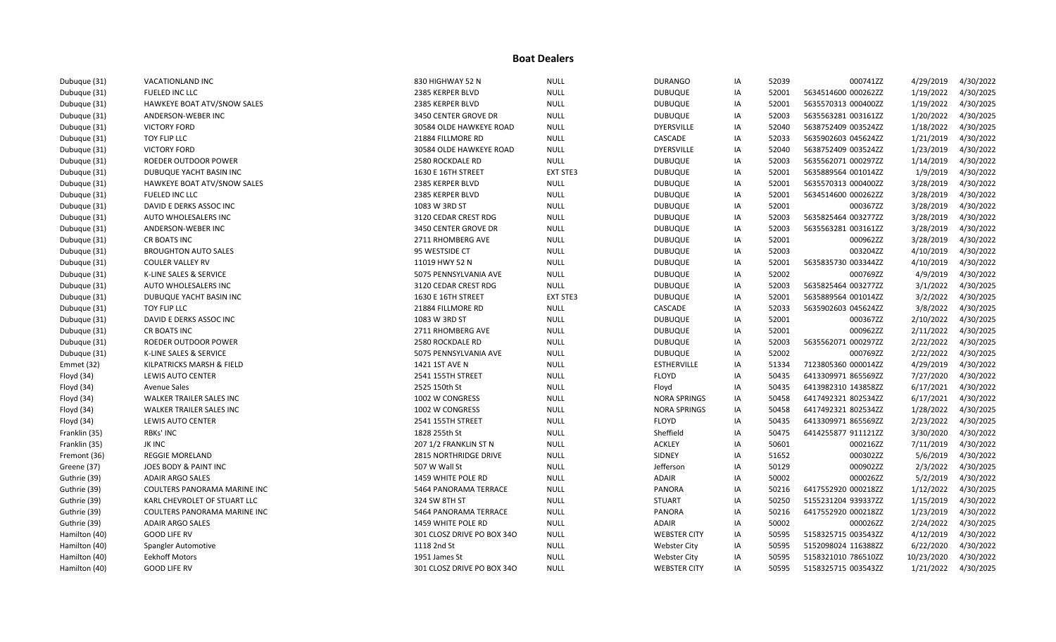| Dubuque (31)  | VACATIONLAND INC             | 830 HIGHWAY 52 N           | <b>NULL</b> | <b>DURANGO</b>      | IA | 52039 | 000741ZZ            | 4/29/2019  | 4/30/2022 |
|---------------|------------------------------|----------------------------|-------------|---------------------|----|-------|---------------------|------------|-----------|
| Dubuque (31)  | FUELED INC LLC               | 2385 KERPER BLVD           | <b>NULL</b> | <b>DUBUQUE</b>      | IA | 52001 | 5634514600 000262ZZ | 1/19/2022  | 4/30/2025 |
| Dubuque (31)  | HAWKEYE BOAT ATV/SNOW SALES  | 2385 KERPER BLVD           | <b>NULL</b> | <b>DUBUQUE</b>      | IA | 52001 | 5635570313 000400ZZ | 1/19/2022  | 4/30/2025 |
| Dubuque (31)  | ANDERSON-WEBER INC           | 3450 CENTER GROVE DR       | <b>NULL</b> | <b>DUBUQUE</b>      | IA | 52003 | 5635563281 003161ZZ | 1/20/2022  | 4/30/2025 |
| Dubuque (31)  | <b>VICTORY FORD</b>          | 30584 OLDE HAWKEYE ROAD    | <b>NULL</b> | <b>DYERSVILLE</b>   | IA | 52040 | 5638752409 003524ZZ | 1/18/2022  | 4/30/2025 |
| Dubuque (31)  | TOY FLIP LLC                 | 21884 FILLMORE RD          | <b>NULL</b> | CASCADE             | IA | 52033 | 5635902603 045624ZZ | 1/21/2019  | 4/30/2022 |
| Dubuque (31)  | <b>VICTORY FORD</b>          | 30584 OLDE HAWKEYE ROAD    | <b>NULL</b> | <b>DYERSVILLE</b>   | IA | 52040 | 5638752409 003524ZZ | 1/23/2019  | 4/30/2022 |
| Dubuque (31)  | ROEDER OUTDOOR POWER         | 2580 ROCKDALE RD           | <b>NULL</b> | <b>DUBUQUE</b>      | IA | 52003 | 5635562071 000297ZZ | 1/14/2019  | 4/30/2022 |
| Dubuque (31)  | DUBUQUE YACHT BASIN INC      | 1630 E 16TH STREET         | EXT STE3    | <b>DUBUQUE</b>      | IA | 52001 | 5635889564 001014ZZ | 1/9/2019   | 4/30/2022 |
| Dubuque (31)  | HAWKEYE BOAT ATV/SNOW SALES  | 2385 KERPER BLVD           | <b>NULL</b> | <b>DUBUQUE</b>      | IA | 52001 | 5635570313 000400ZZ | 3/28/2019  | 4/30/2022 |
| Dubuque (31)  | FUELED INC LLC               | 2385 KERPER BLVD           | <b>NULL</b> | <b>DUBUQUE</b>      | IA | 52001 | 5634514600 000262ZZ | 3/28/2019  | 4/30/2022 |
| Dubuque (31)  | DAVID E DERKS ASSOC INC      | 1083 W 3RD ST              | <b>NULL</b> | <b>DUBUQUE</b>      | IA | 52001 | 000367ZZ            | 3/28/2019  | 4/30/2022 |
| Dubuque (31)  | AUTO WHOLESALERS INC         | 3120 CEDAR CREST RDG       | <b>NULL</b> | <b>DUBUQUE</b>      | IA | 52003 | 5635825464 003277ZZ | 3/28/2019  | 4/30/2022 |
| Dubuque (31)  | ANDERSON-WEBER INC           | 3450 CENTER GROVE DR       | <b>NULL</b> | <b>DUBUQUE</b>      | IA | 52003 | 5635563281 003161ZZ | 3/28/2019  | 4/30/2022 |
| Dubuque (31)  | CR BOATS INC                 | 2711 RHOMBERG AVE          | <b>NULL</b> | <b>DUBUQUE</b>      | IA | 52001 | 000962ZZ            | 3/28/2019  | 4/30/2022 |
| Dubuque (31)  | <b>BROUGHTON AUTO SALES</b>  | 95 WESTSIDE CT             | <b>NULL</b> | <b>DUBUQUE</b>      | IA | 52003 | 003204ZZ            | 4/10/2019  | 4/30/2022 |
| Dubuque (31)  | <b>COULER VALLEY RV</b>      | 11019 HWY 52 N             | <b>NULL</b> | <b>DUBUQUE</b>      | IA | 52001 | 5635835730 003344ZZ | 4/10/2019  | 4/30/2022 |
| Dubuque (31)  | K-LINE SALES & SERVICE       | 5075 PENNSYLVANIA AVE      | <b>NULL</b> | <b>DUBUQUE</b>      | IA | 52002 | 000769ZZ            | 4/9/2019   | 4/30/2022 |
| Dubuque (31)  | AUTO WHOLESALERS INC         | 3120 CEDAR CREST RDG       | <b>NULL</b> | <b>DUBUQUE</b>      | IA | 52003 | 5635825464 003277ZZ | 3/1/2022   | 4/30/2025 |
| Dubuque (31)  | DUBUQUE YACHT BASIN INC      | 1630 E 16TH STREET         | EXT STE3    | <b>DUBUQUE</b>      | IA | 52001 | 5635889564 001014ZZ | 3/2/2022   | 4/30/2025 |
| Dubuque (31)  | TOY FLIP LLC                 | 21884 FILLMORE RD          | <b>NULL</b> | CASCADE             | IA | 52033 | 5635902603 045624ZZ | 3/8/2022   | 4/30/2025 |
| Dubuque (31)  | DAVID E DERKS ASSOC INC      | 1083 W 3RD ST              | <b>NULL</b> | <b>DUBUQUE</b>      | IA | 52001 | 000367ZZ            | 2/10/2022  | 4/30/2025 |
| Dubuque (31)  | CR BOATS INC                 | 2711 RHOMBERG AVE          | <b>NULL</b> | <b>DUBUQUE</b>      | IA | 52001 | 000962ZZ            | 2/11/2022  | 4/30/2025 |
| Dubuque (31)  | ROEDER OUTDOOR POWER         | 2580 ROCKDALE RD           | <b>NULL</b> | <b>DUBUQUE</b>      | IA | 52003 | 5635562071 000297ZZ | 2/22/2022  | 4/30/2025 |
| Dubuque (31)  | K-LINE SALES & SERVICE       | 5075 PENNSYLVANIA AVE      | <b>NULL</b> | <b>DUBUQUE</b>      | IA | 52002 | 000769ZZ            | 2/22/2022  | 4/30/2025 |
| Emmet (32)    | KILPATRICKS MARSH & FIELD    | 1421 1ST AVE N             | <b>NULL</b> | <b>ESTHERVILLE</b>  | IA | 51334 | 7123805360 000014ZZ | 4/29/2019  | 4/30/2022 |
| Floyd (34)    | <b>LEWIS AUTO CENTER</b>     | 2541 155TH STREET          | <b>NULL</b> | <b>FLOYD</b>        | IA | 50435 | 6413309971 865569ZZ | 7/27/2020  | 4/30/2022 |
| Floyd (34)    | <b>Avenue Sales</b>          | 2525 150th St              | <b>NULL</b> | Floyd               | IA | 50435 | 6413982310 143858ZZ | 6/17/2021  | 4/30/2022 |
| Floyd (34)    | WALKER TRAILER SALES INC     | 1002 W CONGRESS            | <b>NULL</b> | <b>NORA SPRINGS</b> | IA | 50458 | 6417492321 802534ZZ | 6/17/2021  | 4/30/2022 |
| Floyd (34)    | WALKER TRAILER SALES INC     | 1002 W CONGRESS            | <b>NULL</b> | <b>NORA SPRINGS</b> | IA | 50458 | 6417492321 802534ZZ | 1/28/2022  | 4/30/2025 |
| Floyd (34)    | LEWIS AUTO CENTER            | 2541 155TH STREET          | <b>NULL</b> | <b>FLOYD</b>        | IA | 50435 | 6413309971 865569ZZ | 2/23/2022  | 4/30/2025 |
| Franklin (35) | <b>RBKs' INC</b>             | 1828 255th St              | <b>NULL</b> | Sheffield           | IA | 50475 | 6414255877 911121ZZ | 3/30/2020  | 4/30/2022 |
| Franklin (35) | JK INC                       | 207 1/2 FRANKLIN ST N      | <b>NULL</b> | <b>ACKLEY</b>       | IA | 50601 | 000216ZZ            | 7/11/2019  | 4/30/2022 |
| Fremont (36)  | <b>REGGIE MORELAND</b>       | 2815 NORTHRIDGE DRIVE      | NULL        | SIDNEY              | IA | 51652 | 000302ZZ            | 5/6/2019   | 4/30/2022 |
| Greene (37)   | JOES BODY & PAINT INC        | 507 W Wall St              | <b>NULL</b> | Jefferson           | IA | 50129 | 000902ZZ            | 2/3/2022   | 4/30/2025 |
| Guthrie (39)  | <b>ADAIR ARGO SALES</b>      | 1459 WHITE POLE RD         | <b>NULL</b> | ADAIR               | IA | 50002 | 000026ZZ            | 5/2/2019   | 4/30/2022 |
| Guthrie (39)  | COULTERS PANORAMA MARINE INC | 5464 PANORAMA TERRACE      | <b>NULL</b> | PANORA              | IA | 50216 | 6417552920 000218ZZ | 1/12/2022  | 4/30/2025 |
| Guthrie (39)  | KARL CHEVROLET OF STUART LLC | 324 SW 8TH ST              | <b>NULL</b> | <b>STUART</b>       | IA | 50250 | 5155231204 939337ZZ | 1/15/2019  | 4/30/2022 |
| Guthrie (39)  | COULTERS PANORAMA MARINE INC | 5464 PANORAMA TERRACE      | <b>NULL</b> | <b>PANORA</b>       | IA | 50216 | 6417552920 000218ZZ | 1/23/2019  | 4/30/2022 |
| Guthrie (39)  | <b>ADAIR ARGO SALES</b>      | 1459 WHITE POLE RD         | <b>NULL</b> | ADAIR               | IA | 50002 | 000026ZZ            | 2/24/2022  | 4/30/2025 |
| Hamilton (40) | <b>GOOD LIFE RV</b>          | 301 CLOSZ DRIVE PO BOX 340 | <b>NULL</b> | <b>WEBSTER CITY</b> | IA | 50595 | 5158325715 003543ZZ | 4/12/2019  | 4/30/2022 |
| Hamilton (40) | Spangler Automotive          | 1118 2nd St                | <b>NULL</b> | <b>Webster City</b> | IA | 50595 | 5152098024 116388ZZ | 6/22/2020  | 4/30/2022 |
| Hamilton (40) | <b>Eekhoff Motors</b>        | 1951 James St              | <b>NULL</b> | <b>Webster City</b> | IA | 50595 | 5158321010 786510ZZ | 10/23/2020 | 4/30/2022 |
| Hamilton (40) | <b>GOOD LIFE RV</b>          | 301 CLOSZ DRIVE PO BOX 340 | <b>NULL</b> | <b>WEBSTER CITY</b> | IA | 50595 | 5158325715 003543ZZ | 1/21/2022  | 4/30/2025 |
|               |                              |                            |             |                     |    |       |                     |            |           |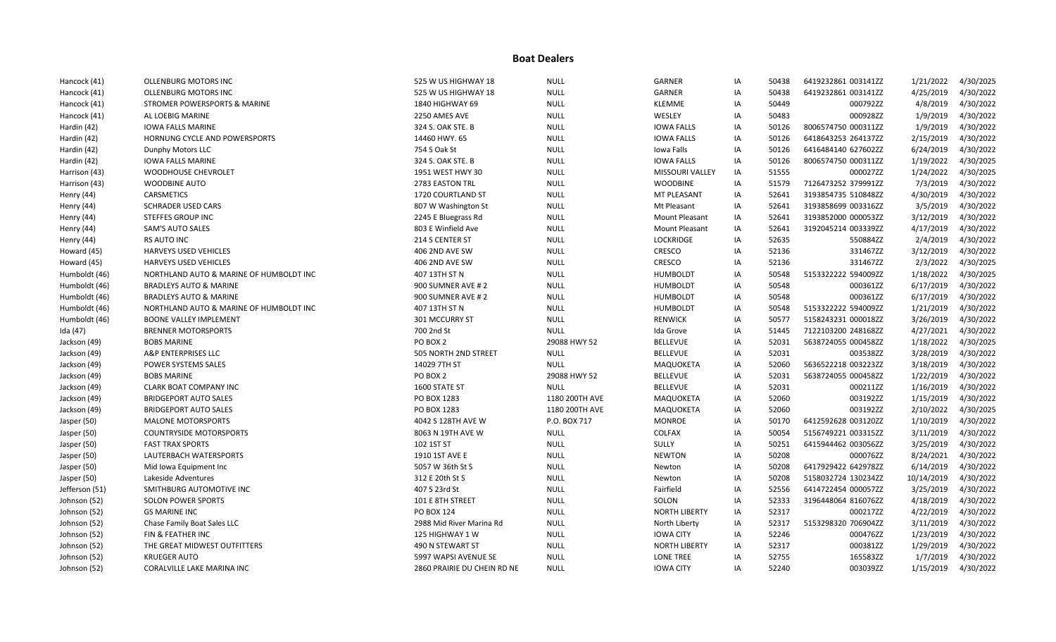| Hancock (41)   | OLLENBURG MOTORS INC                    | 525 W US HIGHWAY 18         | <b>NULL</b>    | <b>GARNER</b>        | ΙA | 50438 | 6419232861 003141ZZ | 1/21/2022  | 4/30/2025 |
|----------------|-----------------------------------------|-----------------------------|----------------|----------------------|----|-------|---------------------|------------|-----------|
| Hancock (41)   | OLLENBURG MOTORS INC                    | 525 W US HIGHWAY 18         | <b>NULL</b>    | GARNER               | IA | 50438 | 6419232861 003141ZZ | 4/25/2019  | 4/30/2022 |
| Hancock (41)   | STROMER POWERSPORTS & MARINE            | 1840 HIGHWAY 69             | <b>NULL</b>    | <b>KLEMME</b>        | ΙA | 50449 | 000792ZZ            | 4/8/2019   | 4/30/2022 |
| Hancock (41)   | AL LOEBIG MARINE                        | 2250 AMES AVE               | <b>NULL</b>    | WESLEY               | IA | 50483 | 000928ZZ            | 1/9/2019   | 4/30/2022 |
| Hardin (42)    | <b>IOWA FALLS MARINE</b>                | 324 S. OAK STE. B           | <b>NULL</b>    | <b>IOWA FALLS</b>    | IA | 50126 | 8006574750 000311ZZ | 1/9/2019   | 4/30/2022 |
| Hardin (42)    | HORNUNG CYCLE AND POWERSPORTS           | 14460 HWY. 65               | <b>NULL</b>    | <b>IOWA FALLS</b>    | IA | 50126 | 6418643253 264137ZZ | 2/15/2019  | 4/30/2022 |
| Hardin (42)    | Dunphy Motors LLC                       | 754 S Oak St                | <b>NULL</b>    | Iowa Falls           | IA | 50126 | 6416484140 627602ZZ | 6/24/2019  | 4/30/2022 |
| Hardin (42)    | IOWA FALLS MARINE                       | 324 S. OAK STE. B           | <b>NULL</b>    | <b>IOWA FALLS</b>    | ΙA | 50126 | 8006574750 000311ZZ | 1/19/2022  | 4/30/2025 |
| Harrison (43)  | WOODHOUSE CHEVROLET                     | 1951 WEST HWY 30            | <b>NULL</b>    | MISSOURI VALLEY      | IA | 51555 | 000027ZZ            | 1/24/2022  | 4/30/2025 |
| Harrison (43)  | <b>WOODBINE AUTO</b>                    | 2783 EASTON TRL             | <b>NULL</b>    | <b>WOODBINE</b>      | IA | 51579 | 7126473252 379991ZZ | 7/3/2019   | 4/30/2022 |
| Henry (44)     | <b>CARSMETICS</b>                       | 1720 COURTLAND ST           | <b>NULL</b>    | <b>MT PLEASANT</b>   | IA | 52641 | 3193854735 510848ZZ | 4/30/2019  | 4/30/2022 |
| Henry (44)     | <b>SCHRADER USED CARS</b>               | 807 W Washington St         | <b>NULL</b>    | Mt Pleasant          | IA | 52641 | 3193858699 003316ZZ | 3/5/2019   | 4/30/2022 |
| Henry (44)     | <b>STEFFES GROUP INC</b>                | 2245 E Bluegrass Rd         | <b>NULL</b>    | Mount Pleasant       | ΙA | 52641 | 3193852000 000053ZZ | 3/12/2019  | 4/30/2022 |
| Henry (44)     | <b>SAM'S AUTO SALES</b>                 | 803 E Winfield Ave          | <b>NULL</b>    | Mount Pleasant       | ΙA | 52641 | 3192045214 003339ZZ | 4/17/2019  | 4/30/2022 |
| Henry (44)     | RS AUTO INC                             | 214 S CENTER ST             | <b>NULL</b>    | <b>LOCKRIDGE</b>     | ΙA | 52635 | 550884ZZ            | 2/4/2019   | 4/30/2022 |
| Howard (45)    | <b>HARVEYS USED VEHICLES</b>            | 406 2ND AVE SW              | <b>NULL</b>    | CRESCO               | IA | 52136 | 331467ZZ            | 3/12/2019  | 4/30/2022 |
| Howard (45)    | HARVEYS USED VEHICLES                   | 406 2ND AVE SW              | <b>NULL</b>    | CRESCO               | ΙA | 52136 | 331467ZZ            | 2/3/2022   | 4/30/2025 |
| Humboldt (46)  | NORTHLAND AUTO & MARINE OF HUMBOLDT INC | 407 13TH ST N               | <b>NULL</b>    | <b>HUMBOLDT</b>      | IA | 50548 | 5153322222 594009ZZ | 1/18/2022  | 4/30/2025 |
| Humboldt (46)  | <b>BRADLEYS AUTO &amp; MARINE</b>       | 900 SUMNER AVE # 2          | <b>NULL</b>    | <b>HUMBOLDT</b>      | IA | 50548 | 000361ZZ            | 6/17/2019  | 4/30/2022 |
| Humboldt (46)  | <b>BRADLEYS AUTO &amp; MARINE</b>       | 900 SUMNER AVE #2           | <b>NULL</b>    | <b>HUMBOLDT</b>      | IA | 50548 | 000361ZZ            | 6/17/2019  | 4/30/2022 |
| Humboldt (46)  | NORTHLAND AUTO & MARINE OF HUMBOLDT INC | 407 13TH ST N               | <b>NULL</b>    | <b>HUMBOLDT</b>      | IA | 50548 | 5153322222 594009ZZ | 1/21/2019  | 4/30/2022 |
| Humboldt (46)  | <b>BOONE VALLEY IMPLEMENT</b>           | 301 MCCURRY ST              | <b>NULL</b>    | <b>RENWICK</b>       | IA | 50577 | 5158243231 000018ZZ | 3/26/2019  | 4/30/2022 |
| Ida (47)       | <b>BRENNER MOTORSPORTS</b>              | 700 2nd St                  | <b>NULL</b>    | Ida Grove            | IA | 51445 | 7122103200 248168ZZ | 4/27/2021  | 4/30/2022 |
| Jackson (49)   | <b>BOBS MARINE</b>                      | PO BOX 2                    | 29088 HWY 52   | <b>BELLEVUE</b>      | ΙA | 52031 | 5638724055 000458ZZ | 1/18/2022  | 4/30/2025 |
| Jackson (49)   | A&P ENTERPRISES LLC                     | 505 NORTH 2ND STREET        | <b>NULL</b>    | <b>BELLEVUE</b>      | IA | 52031 | 003538ZZ            | 3/28/2019  | 4/30/2022 |
| Jackson (49)   | POWER SYSTEMS SALES                     | 14029 7TH ST                | <b>NULL</b>    | MAQUOKETA            | IA | 52060 | 5636522218 003223ZZ | 3/18/2019  | 4/30/2022 |
| Jackson (49)   | <b>BOBS MARINE</b>                      | PO BOX 2                    | 29088 HWY 52   | <b>BELLEVUE</b>      | IA | 52031 | 5638724055 000458ZZ | 1/22/2019  | 4/30/2022 |
| Jackson (49)   | CLARK BOAT COMPANY INC                  | 1600 STATE ST               | <b>NULL</b>    | <b>BELLEVUE</b>      | ΙA | 52031 | 000211ZZ            | 1/16/2019  | 4/30/2022 |
| Jackson (49)   | <b>BRIDGEPORT AUTO SALES</b>            | PO BOX 1283                 | 1180 200TH AVE | MAQUOKETA            | IA | 52060 | 003192ZZ            | 1/15/2019  | 4/30/2022 |
| Jackson (49)   | <b>BRIDGEPORT AUTO SALES</b>            | PO BOX 1283                 | 1180 200TH AVE | MAQUOKETA            | IA | 52060 | 003192ZZ            | 2/10/2022  | 4/30/2025 |
| Jasper (50)    | <b>MALONE MOTORSPORTS</b>               | 4042 S 128TH AVE W          | P.O. BOX 717   | <b>MONROE</b>        | IA | 50170 | 6412592628 003120ZZ | 1/10/2019  | 4/30/2022 |
| Jasper (50)    | <b>COUNTRYSIDE MOTORSPORTS</b>          | 8063 N 19TH AVE W           | <b>NULL</b>    | COLFAX               | IA | 50054 | 5156749221 003315ZZ | 3/11/2019  | 4/30/2022 |
| Jasper (50)    | <b>FAST TRAX SPORTS</b>                 | 102 1ST ST                  | <b>NULL</b>    | SULLY                | IA | 50251 | 6415944462 003056ZZ | 3/25/2019  | 4/30/2022 |
| Jasper (50)    | LAUTERBACH WATERSPORTS                  | 1910 1ST AVE E              | <b>NULL</b>    | <b>NEWTON</b>        | ΙA | 50208 | 000076ZZ            | 8/24/2021  | 4/30/2022 |
| Jasper (50)    | Mid Iowa Equipment Inc                  | 5057 W 36th St S            | <b>NULL</b>    | Newton               | IA | 50208 | 6417929422 642978ZZ | 6/14/2019  | 4/30/2022 |
| Jasper (50)    | Lakeside Adventures                     | 312 E 20th St S             | <b>NULL</b>    | Newton               | IA | 50208 | 5158032724 130234ZZ | 10/14/2019 | 4/30/2022 |
| Jefferson (51) | SMITHBURG AUTOMOTIVE INC                | 407 S 23rd St               | <b>NULL</b>    | Fairfield            | IA | 52556 | 6414722454 000057ZZ | 3/25/2019  | 4/30/2022 |
| Johnson (52)   | <b>SOLON POWER SPORTS</b>               | 101 E 8TH STREET            | <b>NULL</b>    | SOLON                | ΙA | 52333 | 3196448064 816076ZZ | 4/18/2019  | 4/30/2022 |
| Johnson (52)   | <b>GS MARINE INC</b>                    | PO BOX 124                  | <b>NULL</b>    | <b>NORTH LIBERTY</b> | ΙA | 52317 | 000217ZZ            | 4/22/2019  | 4/30/2022 |
| Johnson (52)   | Chase Family Boat Sales LLC             | 2988 Mid River Marina Rd    | <b>NULL</b>    | North Liberty        | IA | 52317 | 5153298320 706904ZZ | 3/11/2019  | 4/30/2022 |
| Johnson (52)   | FIN & FEATHER INC                       | 125 HIGHWAY 1 W             | <b>NULL</b>    | <b>IOWA CITY</b>     | ΙA | 52246 | 000476ZZ            | 1/23/2019  | 4/30/2022 |
| Johnson (52)   | THE GREAT MIDWEST OUTFITTERS            | 490 N STEWART ST            | <b>NULL</b>    | <b>NORTH LIBERTY</b> | IA | 52317 | 000381ZZ            | 1/29/2019  | 4/30/2022 |
| Johnson (52)   | <b>KRUEGER AUTO</b>                     | 5997 WAPSI AVENUE SE        | <b>NULL</b>    | <b>LONE TREE</b>     | IA | 52755 | 165583ZZ            | 1/7/2019   | 4/30/2022 |
| Johnson (52)   | CORALVILLE LAKE MARINA INC              | 2860 PRAIRIE DU CHEIN RD NE | <b>NULL</b>    | <b>IOWA CITY</b>     | IA | 52240 | 003039ZZ            | 1/15/2019  | 4/30/2022 |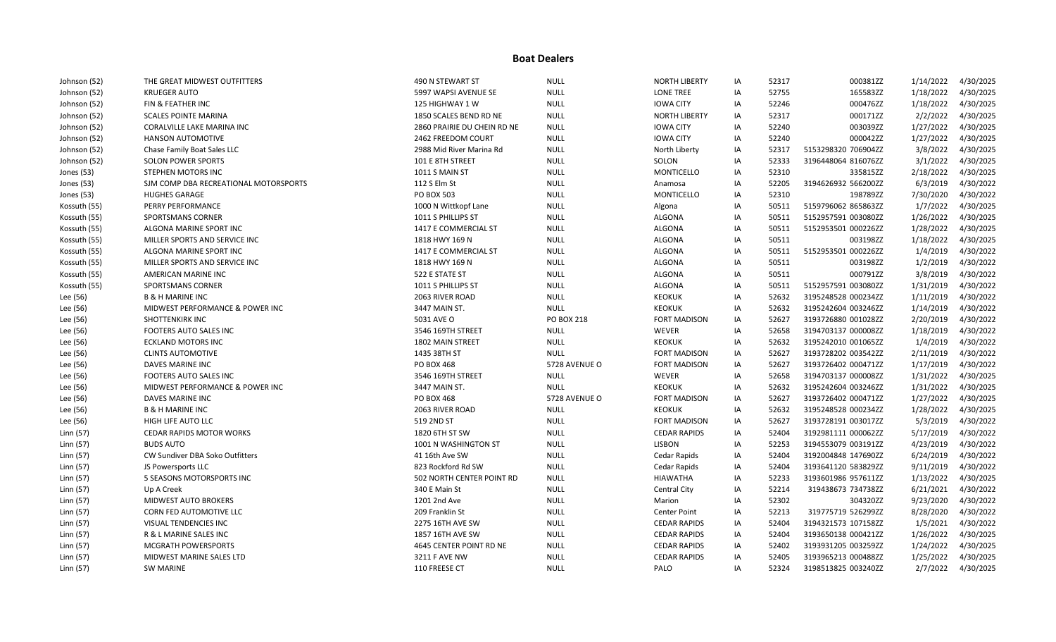| Johnson (52) | THE GREAT MIDWEST OUTFITTERS          | 490 N STEWART ST            | <b>NULL</b>       | <b>NORTH LIBERTY</b> | IA | 52317 | 000381ZZ            | 1/14/2022 | 4/30/2025 |
|--------------|---------------------------------------|-----------------------------|-------------------|----------------------|----|-------|---------------------|-----------|-----------|
| Johnson (52) | <b>KRUEGER AUTO</b>                   | 5997 WAPSI AVENUE SE        | <b>NULL</b>       | <b>LONE TREE</b>     | IA | 52755 | 165583ZZ            | 1/18/2022 | 4/30/2025 |
| Johnson (52) | FIN & FEATHER INC                     | 125 HIGHWAY 1 W             | <b>NULL</b>       | <b>IOWA CITY</b>     | IA | 52246 | 000476ZZ            | 1/18/2022 | 4/30/2025 |
| Johnson (52) | <b>SCALES POINTE MARINA</b>           | 1850 SCALES BEND RD NE      | <b>NULL</b>       | <b>NORTH LIBERTY</b> | IA | 52317 | 000171ZZ            | 2/2/2022  | 4/30/2025 |
| Johnson (52) | CORALVILLE LAKE MARINA INC            | 2860 PRAIRIE DU CHEIN RD NE | <b>NULL</b>       | <b>IOWA CITY</b>     | IA | 52240 | 003039ZZ            | 1/27/2022 | 4/30/2025 |
| Johnson (52) | <b>HANSON AUTOMOTIVE</b>              | 2462 FREEDOM COURT          | <b>NULL</b>       | <b>IOWA CITY</b>     | IA | 52240 | 000042ZZ            | 1/27/2022 | 4/30/2025 |
| Johnson (52) | Chase Family Boat Sales LLC           | 2988 Mid River Marina Rd    | <b>NULL</b>       | North Liberty        | IA | 52317 | 5153298320 706904ZZ | 3/8/2022  | 4/30/2025 |
| Johnson (52) | <b>SOLON POWER SPORTS</b>             | 101 E 8TH STREET            | <b>NULL</b>       | SOLON                | IA | 52333 | 3196448064 816076ZZ | 3/1/2022  | 4/30/2025 |
| Jones (53)   | STEPHEN MOTORS INC                    | 1011 S MAIN ST              | <b>NULL</b>       | <b>MONTICELLO</b>    | ΙA | 52310 | 335815ZZ            | 2/18/2022 | 4/30/2025 |
| Jones (53)   | SJM COMP DBA RECREATIONAL MOTORSPORTS | 112 S Elm St                | <b>NULL</b>       | Anamosa              | IA | 52205 | 3194626932 566200ZZ | 6/3/2019  | 4/30/2022 |
| Jones (53)   | <b>HUGHES GARAGE</b>                  | <b>PO BOX 503</b>           | <b>NULL</b>       | <b>MONTICELLO</b>    | IA | 52310 | 198789ZZ            | 7/30/2020 | 4/30/2022 |
| Kossuth (55) | PERRY PERFORMANCE                     | 1000 N Wittkopf Lane        | <b>NULL</b>       | Algona               | IA | 50511 | 5159796062 865863ZZ | 1/7/2022  | 4/30/2025 |
| Kossuth (55) | <b>SPORTSMANS CORNER</b>              | 1011 S PHILLIPS ST          | <b>NULL</b>       | ALGONA               | IA | 50511 | 5152957591 003080ZZ | 1/26/2022 | 4/30/2025 |
| Kossuth (55) | ALGONA MARINE SPORT INC               | 1417 E COMMERCIAL ST        | <b>NULL</b>       | ALGONA               | ΙA | 50511 | 5152953501 000226ZZ | 1/28/2022 | 4/30/2025 |
| Kossuth (55) | MILLER SPORTS AND SERVICE INC         | 1818 HWY 169 N              | <b>NULL</b>       | <b>ALGONA</b>        | IA | 50511 | 003198ZZ            | 1/18/2022 | 4/30/2025 |
| Kossuth (55) | ALGONA MARINE SPORT INC               | 1417 E COMMERCIAL ST        | <b>NULL</b>       | <b>ALGONA</b>        | IA | 50511 | 5152953501 000226ZZ | 1/4/2019  | 4/30/2022 |
| Kossuth (55) | MILLER SPORTS AND SERVICE INC         | 1818 HWY 169 N              | <b>NULL</b>       | ALGONA               | IA | 50511 | 003198ZZ            | 1/2/2019  | 4/30/2022 |
| Kossuth (55) | AMERICAN MARINE INC                   | 522 E STATE ST              | <b>NULL</b>       | ALGONA               | IA | 50511 | 000791ZZ            | 3/8/2019  | 4/30/2022 |
| Kossuth (55) | SPORTSMANS CORNER                     | 1011 S PHILLIPS ST          | <b>NULL</b>       | ALGONA               | IA | 50511 | 5152957591 003080ZZ | 1/31/2019 | 4/30/2022 |
| Lee (56)     | <b>B &amp; H MARINE INC</b>           | 2063 RIVER ROAD             | <b>NULL</b>       | <b>KEOKUK</b>        | IA | 52632 | 3195248528 000234ZZ | 1/11/2019 | 4/30/2022 |
| Lee (56)     | MIDWEST PERFORMANCE & POWER INC       | 3447 MAIN ST.               | <b>NULL</b>       | <b>KEOKUK</b>        | IA | 52632 | 3195242604 003246ZZ | 1/14/2019 | 4/30/2022 |
| Lee (56)     | <b>SHOTTENKIRK INC</b>                | 5031 AVE O                  | <b>PO BOX 218</b> | <b>FORT MADISON</b>  | IA | 52627 | 3193726880 001028ZZ | 2/20/2019 | 4/30/2022 |
| Lee (56)     | FOOTERS AUTO SALES INC                | 3546 169TH STREET           | <b>NULL</b>       | WEVER                | IA | 52658 | 3194703137 000008ZZ | 1/18/2019 | 4/30/2022 |
| Lee (56)     | ECKLAND MOTORS INC                    | 1802 MAIN STREET            | <b>NULL</b>       | <b>KEOKUK</b>        | ΙA | 52632 | 3195242010 001065ZZ | 1/4/2019  | 4/30/2022 |
| Lee (56)     | <b>CLINTS AUTOMOTIVE</b>              | 1435 38TH ST                | <b>NULL</b>       | <b>FORT MADISON</b>  | IA | 52627 | 3193728202 003542ZZ | 2/11/2019 | 4/30/2022 |
| Lee (56)     | DAVES MARINE INC                      | PO BOX 468                  | 5728 AVENUE O     | <b>FORT MADISON</b>  | IA | 52627 | 3193726402 000471ZZ | 1/17/2019 | 4/30/2022 |
| Lee (56)     | FOOTERS AUTO SALES INC                | 3546 169TH STREET           | <b>NULL</b>       | WEVER                | IA | 52658 | 3194703137 000008ZZ | 1/31/2022 | 4/30/2025 |
| Lee (56)     | MIDWEST PERFORMANCE & POWER INC       | 3447 MAIN ST.               | <b>NULL</b>       | <b>KEOKUK</b>        | IA | 52632 | 3195242604 003246ZZ | 1/31/2022 | 4/30/2025 |
| Lee (56)     | DAVES MARINE INC                      | <b>PO BOX 468</b>           | 5728 AVENUE O     | <b>FORT MADISON</b>  | ΙA | 52627 | 3193726402 000471ZZ | 1/27/2022 | 4/30/2025 |
| Lee (56)     | <b>B &amp; H MARINE INC</b>           | 2063 RIVER ROAD             | <b>NULL</b>       | <b>KEOKUK</b>        | IA | 52632 | 3195248528 000234ZZ | 1/28/2022 | 4/30/2025 |
| Lee (56)     | HIGH LIFE AUTO LLC                    | 519 2ND ST                  | <b>NULL</b>       | <b>FORT MADISON</b>  | ΙA | 52627 | 3193728191 003017ZZ | 5/3/2019  | 4/30/2022 |
| Linn (57)    | <b>CEDAR RAPIDS MOTOR WORKS</b>       | 1820 6TH ST SW              | <b>NULL</b>       | <b>CEDAR RAPIDS</b>  | IA | 52404 | 3192981111 000062ZZ | 5/17/2019 | 4/30/2022 |
| Linn (57)    | <b>BUDS AUTO</b>                      | 1001 N WASHINGTON ST        | <b>NULL</b>       | <b>LISBON</b>        | IA | 52253 | 3194553079 003191ZZ | 4/23/2019 | 4/30/2022 |
| Linn (57)    | CW Sundiver DBA Soko Outfitters       | 41 16th Ave SW              | <b>NULL</b>       | Cedar Rapids         | IA | 52404 | 3192004848 147690ZZ | 6/24/2019 | 4/30/2022 |
| Linn (57)    | JS Powersports LLC                    | 823 Rockford Rd SW          | <b>NULL</b>       | Cedar Rapids         | IA | 52404 | 3193641120 583829ZZ | 9/11/2019 | 4/30/2022 |
| Linn (57)    | 5 SEASONS MOTORSPORTS INC             | 502 NORTH CENTER POINT RD   | <b>NULL</b>       | HIAWATHA             | ΙA | 52233 | 3193601986 957611ZZ | 1/13/2022 | 4/30/2025 |
| Linn (57)    | Up A Creek                            | 340 E Main St               | <b>NULL</b>       | <b>Central City</b>  | IA | 52214 | 319438673 734738ZZ  | 6/21/2021 | 4/30/2022 |
| Linn (57)    | <b>MIDWEST AUTO BROKERS</b>           | 1201 2nd Ave                | <b>NULL</b>       | Marion               | IA | 52302 | 304320ZZ            | 9/23/2020 | 4/30/2022 |
| Linn (57)    | CORN FED AUTOMOTIVE LLC               | 209 Franklin St             | <b>NULL</b>       | <b>Center Point</b>  | IA | 52213 | 319775719 526299ZZ  | 8/28/2020 | 4/30/2022 |
| Linn (57)    | VISUAL TENDENCIES INC                 | 2275 16TH AVE SW            | <b>NULL</b>       | <b>CEDAR RAPIDS</b>  | IA | 52404 | 3194321573 107158ZZ | 1/5/2021  | 4/30/2022 |
| Linn (57)    | R & L MARINE SALES INC                | 1857 16TH AVE SW            | <b>NULL</b>       | <b>CEDAR RAPIDS</b>  | ΙA | 52404 | 3193650138 000421ZZ | 1/26/2022 | 4/30/2025 |
| Linn (57)    | MCGRATH POWERSPORTS                   | 4645 CENTER POINT RD NE     | <b>NULL</b>       | <b>CEDAR RAPIDS</b>  | IA | 52402 | 3193931205 003259ZZ | 1/24/2022 | 4/30/2025 |
| Linn (57)    | MIDWEST MARINE SALES LTD              | 3211 F AVE NW               | <b>NULL</b>       | <b>CEDAR RAPIDS</b>  | IA | 52405 | 3193965213 000488ZZ | 1/25/2022 | 4/30/2025 |
| Linn (57)    | <b>SW MARINE</b>                      | 110 FREESE CT               | <b>NULL</b>       | PALO                 | IA | 52324 | 3198513825 003240ZZ | 2/7/2022  | 4/30/2025 |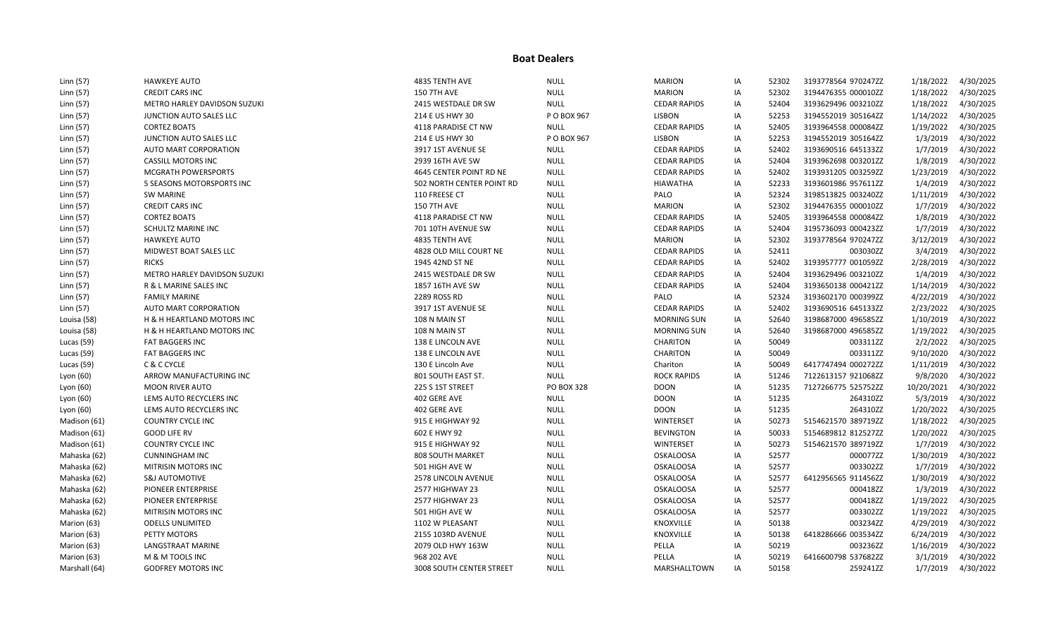| Linn (57)     | <b>HAWKEYE AUTO</b>                   | 4835 TENTH AVE            | <b>NULL</b>       | <b>MARION</b>       | IA | 52302 | 3193778564 970247ZZ | 1/18/2022  | 4/30/2025 |
|---------------|---------------------------------------|---------------------------|-------------------|---------------------|----|-------|---------------------|------------|-----------|
| Linn (57)     | <b>CREDIT CARS INC</b>                | <b>150 7TH AVE</b>        | <b>NULL</b>       | <b>MARION</b>       | IA | 52302 | 3194476355 000010ZZ | 1/18/2022  | 4/30/2025 |
| Linn (57)     | METRO HARLEY DAVIDSON SUZUKI          | 2415 WESTDALE DR SW       | <b>NULL</b>       | <b>CEDAR RAPIDS</b> | IA | 52404 | 3193629496 003210ZZ | 1/18/2022  | 4/30/2025 |
| Linn (57)     | JUNCTION AUTO SALES LLC               | 214 E US HWY 30           | P O BOX 967       | <b>LISBON</b>       | IA | 52253 | 3194552019 305164ZZ | 1/14/2022  | 4/30/2025 |
| Linn (57)     | <b>CORTEZ BOATS</b>                   | 4118 PARADISE CT NW       | <b>NULL</b>       | <b>CEDAR RAPIDS</b> | IA | 52405 | 3193964558 000084ZZ | 1/19/2022  | 4/30/2025 |
| Linn (57)     | JUNCTION AUTO SALES LLC               | 214 E US HWY 30           | P O BOX 967       | <b>LISBON</b>       | IA | 52253 | 3194552019 305164ZZ | 1/3/2019   | 4/30/2022 |
| Linn (57)     | AUTO MART CORPORATION                 | 3917 1ST AVENUE SE        | <b>NULL</b>       | <b>CEDAR RAPIDS</b> | IA | 52402 | 3193690516 645133ZZ | 1/7/2019   | 4/30/2022 |
| Linn (57)     | <b>CASSILL MOTORS INC</b>             | 2939 16TH AVE SW          | <b>NULL</b>       | <b>CEDAR RAPIDS</b> | IA | 52404 | 3193962698 003201ZZ | 1/8/2019   | 4/30/2022 |
| Linn (57)     | <b>MCGRATH POWERSPORTS</b>            | 4645 CENTER POINT RD NE   | <b>NULL</b>       | <b>CEDAR RAPIDS</b> | IA | 52402 | 3193931205 003259ZZ | 1/23/2019  | 4/30/2022 |
| Linn (57)     | 5 SEASONS MOTORSPORTS INC             | 502 NORTH CENTER POINT RD | <b>NULL</b>       | <b>HIAWATHA</b>     | IA | 52233 | 3193601986 957611ZZ | 1/4/2019   | 4/30/2022 |
| Linn (57)     | <b>SW MARINE</b>                      | 110 FREESE CT             | <b>NULL</b>       | PALO                | IA | 52324 | 3198513825 003240ZZ | 1/11/2019  | 4/30/2022 |
| Linn (57)     | <b>CREDIT CARS INC</b>                | <b>150 7TH AVE</b>        | <b>NULL</b>       | <b>MARION</b>       | IA | 52302 | 3194476355 000010ZZ | 1/7/2019   | 4/30/2022 |
| Linn (57)     | <b>CORTEZ BOATS</b>                   | 4118 PARADISE CT NW       | <b>NULL</b>       | <b>CEDAR RAPIDS</b> | IA | 52405 | 3193964558 000084ZZ | 1/8/2019   | 4/30/2022 |
| Linn (57)     | SCHULTZ MARINE INC                    | 701 10TH AVENUE SW        | <b>NULL</b>       | <b>CEDAR RAPIDS</b> | IA | 52404 | 3195736093 000423ZZ | 1/7/2019   | 4/30/2022 |
| Linn (57)     | <b>HAWKEYE AUTO</b>                   | 4835 TENTH AVE            | <b>NULL</b>       | <b>MARION</b>       | ΙA | 52302 | 3193778564 970247ZZ | 3/12/2019  | 4/30/2022 |
| Linn (57)     | MIDWEST BOAT SALES LLC                | 4828 OLD MILL COURT NE    | <b>NULL</b>       | <b>CEDAR RAPIDS</b> | IA | 52411 | 003030ZZ            | 3/4/2019   | 4/30/2022 |
| Linn (57)     | <b>RICKS</b>                          | 1945 42ND ST NE           | <b>NULL</b>       | <b>CEDAR RAPIDS</b> | IA | 52402 | 3193957777 001059ZZ | 2/28/2019  | 4/30/2022 |
| Linn (57)     | METRO HARLEY DAVIDSON SUZUKI          | 2415 WESTDALE DR SW       | <b>NULL</b>       | <b>CEDAR RAPIDS</b> | IA | 52404 | 3193629496 003210ZZ | 1/4/2019   | 4/30/2022 |
| Linn (57)     | R & L MARINE SALES INC                | 1857 16TH AVE SW          | <b>NULL</b>       | <b>CEDAR RAPIDS</b> | IA | 52404 | 3193650138 000421ZZ | 1/14/2019  | 4/30/2022 |
| Linn (57)     | <b>FAMILY MARINE</b>                  | 2289 ROSS RD              | <b>NULL</b>       | PALO                | IA | 52324 | 3193602170 000399ZZ | 4/22/2019  | 4/30/2022 |
| Linn (57)     | AUTO MART CORPORATION                 | 3917 1ST AVENUE SE        | <b>NULL</b>       | <b>CEDAR RAPIDS</b> | IA | 52402 | 3193690516 645133ZZ | 2/23/2022  | 4/30/2025 |
| Louisa (58)   | <b>H &amp; H HEARTLAND MOTORS INC</b> | 108 N MAIN ST             | <b>NULL</b>       | <b>MORNING SUN</b>  | IA | 52640 | 3198687000 496585ZZ | 1/10/2019  | 4/30/2022 |
| Louisa (58)   | H & H HEARTLAND MOTORS INC            | 108 N MAIN ST             | <b>NULL</b>       | <b>MORNING SUN</b>  | IA | 52640 | 3198687000 496585ZZ | 1/19/2022  | 4/30/2025 |
| Lucas $(59)$  | FAT BAGGERS INC                       | 138 E LINCOLN AVE         | <b>NULL</b>       | <b>CHARITON</b>     | IA | 50049 | 003311ZZ            | 2/2/2022   | 4/30/2025 |
| Lucas (59)    | <b>FAT BAGGERS INC</b>                | 138 E LINCOLN AVE         | <b>NULL</b>       | <b>CHARITON</b>     | IA | 50049 | 003311ZZ            | 9/10/2020  | 4/30/2022 |
| Lucas (59)    | C & C CYCLE                           | 130 E Lincoln Ave         | <b>NULL</b>       | Chariton            | IA | 50049 | 6417747494 000272ZZ | 1/11/2019  | 4/30/2022 |
| Lyon (60)     | ARROW MANUFACTURING INC               | 801 SOUTH EAST ST.        | <b>NULL</b>       | <b>ROCK RAPIDS</b>  | IA | 51246 | 7122613157 921068ZZ | 9/8/2020   | 4/30/2022 |
| Lyon (60)     | <b>MOON RIVER AUTO</b>                | 225 S 1ST STREET          | <b>PO BOX 328</b> | <b>DOON</b>         | IA | 51235 | 7127266775 525752ZZ | 10/20/2021 | 4/30/2022 |
| Lyon (60)     | LEMS AUTO RECYCLERS INC               | 402 GERE AVE              | <b>NULL</b>       | <b>DOON</b>         | IA | 51235 | 264310ZZ            | 5/3/2019   | 4/30/2022 |
| Lyon (60)     | LEMS AUTO RECYCLERS INC               | 402 GERE AVE              | <b>NULL</b>       | <b>DOON</b>         | IA | 51235 | 264310ZZ            | 1/20/2022  | 4/30/2025 |
| Madison (61)  | <b>COUNTRY CYCLE INC</b>              | 915 E HIGHWAY 92          | <b>NULL</b>       | WINTERSET           | IA | 50273 | 5154621570 389719ZZ | 1/18/2022  | 4/30/2025 |
| Madison (61)  | <b>GOOD LIFE RV</b>                   | 602 E HWY 92              | <b>NULL</b>       | <b>BEVINGTON</b>    | IA | 50033 | 5154689812 812527ZZ | 1/20/2022  | 4/30/2025 |
| Madison (61)  | <b>COUNTRY CYCLE INC</b>              | 915 E HIGHWAY 92          | <b>NULL</b>       | WINTERSET           | IA | 50273 | 5154621570 389719ZZ | 1/7/2019   | 4/30/2022 |
| Mahaska (62)  | <b>CUNNINGHAM INC</b>                 | 808 SOUTH MARKET          | <b>NULL</b>       | <b>OSKALOOSA</b>    | IA | 52577 | 000077ZZ            | 1/30/2019  | 4/30/2022 |
| Mahaska (62)  | MITRISIN MOTORS INC                   | 501 HIGH AVE W            | <b>NULL</b>       | <b>OSKALOOSA</b>    | ΙA | 52577 | 003302ZZ            | 1/7/2019   | 4/30/2022 |
| Mahaska (62)  | <b>S&amp;J AUTOMOTIVE</b>             | 2578 LINCOLN AVENUE       | <b>NULL</b>       | <b>OSKALOOSA</b>    | IA | 52577 | 6412956565 911456ZZ | 1/30/2019  | 4/30/2022 |
| Mahaska (62)  | PIONEER ENTERPRISE                    | <b>2577 HIGHWAY 23</b>    | <b>NULL</b>       | <b>OSKALOOSA</b>    | IA | 52577 | 000418ZZ            | 1/3/2019   | 4/30/2022 |
| Mahaska (62)  | PIONEER ENTERPRISE                    | <b>2577 HIGHWAY 23</b>    | <b>NULL</b>       | <b>OSKALOOSA</b>    | IA | 52577 | 000418ZZ            | 1/19/2022  | 4/30/2025 |
| Mahaska (62)  | MITRISIN MOTORS INC                   | 501 HIGH AVE W            | <b>NULL</b>       | <b>OSKALOOSA</b>    | IA | 52577 | 003302ZZ            | 1/19/2022  | 4/30/2025 |
| Marion (63)   | <b>ODELLS UNLIMITED</b>               | 1102 W PLEASANT           | <b>NULL</b>       | KNOXVILLE           | IA | 50138 | 003234ZZ            | 4/29/2019  | 4/30/2022 |
| Marion (63)   | PETTY MOTORS                          | 2155 103RD AVENUE         | <b>NULL</b>       | KNOXVILLE           | ΙA | 50138 | 6418286666 003534ZZ | 6/24/2019  | 4/30/2022 |
| Marion (63)   | LANGSTRAAT MARINE                     | 2079 OLD HWY 163W         | <b>NULL</b>       | PELLA               | IA | 50219 | 003236ZZ            | 1/16/2019  | 4/30/2022 |
| Marion (63)   | M & M TOOLS INC                       | 968 202 AVE               | <b>NULL</b>       | PELLA               | IA | 50219 | 6416600798 537682ZZ | 3/1/2019   | 4/30/2022 |
| Marshall (64) | <b>GODFREY MOTORS INC</b>             | 3008 SOUTH CENTER STREET  | <b>NULL</b>       | MARSHALLTOWN        | IA | 50158 | 259241ZZ            | 1/7/2019   | 4/30/2022 |
|               |                                       |                           |                   |                     |    |       |                     |            |           |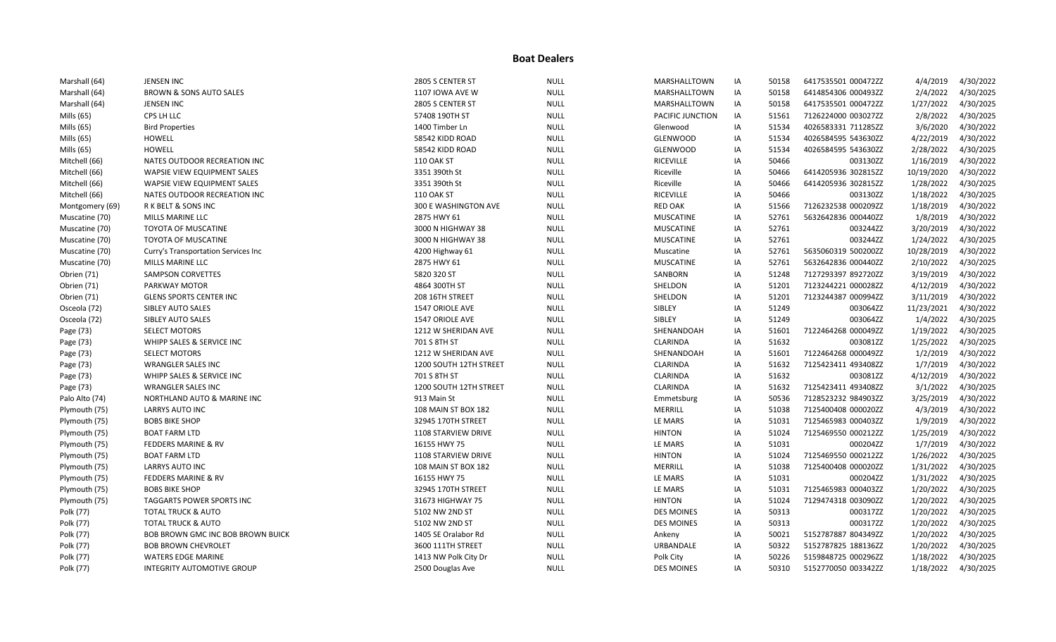| Marshall (64)   | <b>JENSEN INC</b>                   | 2805 S CENTER ST       | <b>NULL</b> | MARSHALLTOWN      | IA | 50158 | 6417535501 000472ZZ | 4/4/2019   | 4/30/2022 |
|-----------------|-------------------------------------|------------------------|-------------|-------------------|----|-------|---------------------|------------|-----------|
| Marshall (64)   | BROWN & SONS AUTO SALES             | 1107 IOWA AVE W        | <b>NULL</b> | MARSHALLTOWN      | IA | 50158 | 6414854306 000493ZZ | 2/4/2022   | 4/30/2025 |
| Marshall (64)   | <b>JENSEN INC</b>                   | 2805 S CENTER ST       | <b>NULL</b> | MARSHALLTOWN      | IA | 50158 | 6417535501 000472ZZ | 1/27/2022  | 4/30/2025 |
| Mills (65)      | CPS LH LLC                          | 57408 190TH ST         | <b>NULL</b> | PACIFIC JUNCTION  | IA | 51561 | 7126224000 003027ZZ | 2/8/2022   | 4/30/2025 |
| Mills (65)      | <b>Bird Properties</b>              | 1400 Timber Ln         | <b>NULL</b> | Glenwood          | IA | 51534 | 4026583331 711285ZZ | 3/6/2020   | 4/30/2022 |
| Mills (65)      | <b>HOWELL</b>                       | 58542 KIDD ROAD        | <b>NULL</b> | <b>GLENWOOD</b>   | IA | 51534 | 4026584595 543630ZZ | 4/22/2019  | 4/30/2022 |
| Mills (65)      | <b>HOWELL</b>                       | 58542 KIDD ROAD        | <b>NULL</b> | <b>GLENWOOD</b>   | IA | 51534 | 4026584595 543630ZZ | 2/28/2022  | 4/30/2025 |
| Mitchell (66)   | NATES OUTDOOR RECREATION INC        | <b>110 OAK ST</b>      | <b>NULL</b> | <b>RICEVILLE</b>  | IA | 50466 | 003130ZZ            | 1/16/2019  | 4/30/2022 |
| Mitchell (66)   | WAPSIE VIEW EQUIPMENT SALES         | 3351 390th St          | <b>NULL</b> | Riceville         | IA | 50466 | 6414205936 302815ZZ | 10/19/2020 | 4/30/2022 |
| Mitchell (66)   | WAPSIE VIEW EQUIPMENT SALES         | 3351 390th St          | <b>NULL</b> | Riceville         | IA | 50466 | 6414205936 302815ZZ | 1/28/2022  | 4/30/2025 |
| Mitchell (66)   | NATES OUTDOOR RECREATION INC        | <b>110 OAK ST</b>      | <b>NULL</b> | <b>RICEVILLE</b>  | IA | 50466 | 003130ZZ            | 1/18/2022  | 4/30/2025 |
| Montgomery (69) | R K BELT & SONS INC                 | 300 E WASHINGTON AVE   | <b>NULL</b> | <b>RED OAK</b>    | IA | 51566 | 7126232538 000209ZZ | 1/18/2019  | 4/30/2022 |
| Muscatine (70)  | MILLS MARINE LLC                    | 2875 HWY 61            | <b>NULL</b> | <b>MUSCATINE</b>  | IA | 52761 | 5632642836 000440ZZ | 1/8/2019   | 4/30/2022 |
| Muscatine (70)  | <b>TOYOTA OF MUSCATINE</b>          | 3000 N HIGHWAY 38      | <b>NULL</b> | <b>MUSCATINE</b>  | IA | 52761 | 003244ZZ            | 3/20/2019  | 4/30/2022 |
| Muscatine (70)  | <b>TOYOTA OF MUSCATINE</b>          | 3000 N HIGHWAY 38      | <b>NULL</b> | <b>MUSCATINE</b>  | IA | 52761 | 003244ZZ            | 1/24/2022  | 4/30/2025 |
| Muscatine (70)  | Curry's Transportation Services Inc | 4200 Highway 61        | <b>NULL</b> | Muscatine         | IA | 52761 | 5635060319 500200ZZ | 10/28/2019 | 4/30/2022 |
| Muscatine (70)  | MILLS MARINE LLC                    | 2875 HWY 61            | <b>NULL</b> | <b>MUSCATINE</b>  | IA | 52761 | 5632642836 000440ZZ | 2/10/2022  | 4/30/2025 |
| Obrien (71)     | <b>SAMPSON CORVETTES</b>            | 5820 320 ST            | <b>NULL</b> | SANBORN           | IA | 51248 | 7127293397 892720ZZ | 3/19/2019  | 4/30/2022 |
| Obrien (71)     | PARKWAY MOTOR                       | 4864 300TH ST          | <b>NULL</b> | SHELDON           | IA | 51201 | 7123244221 000028ZZ | 4/12/2019  | 4/30/2022 |
| Obrien (71)     | <b>GLENS SPORTS CENTER INC</b>      | 208 16TH STREET        | <b>NULL</b> | SHELDON           | IA | 51201 | 7123244387 000994ZZ | 3/11/2019  | 4/30/2022 |
| Osceola (72)    | SIBLEY AUTO SALES                   | 1547 ORIOLE AVE        | <b>NULL</b> | SIBLEY            | IA | 51249 | 003064ZZ            | 11/23/2021 | 4/30/2022 |
| Osceola (72)    | SIBLEY AUTO SALES                   | <b>1547 ORIOLE AVE</b> | <b>NULL</b> | SIBLEY            | IA | 51249 | 003064ZZ            | 1/4/2022   | 4/30/2025 |
| Page (73)       | <b>SELECT MOTORS</b>                | 1212 W SHERIDAN AVE    | <b>NULL</b> | SHENANDOAH        | IA | 51601 | 7122464268 000049ZZ | 1/19/2022  | 4/30/2025 |
| Page (73)       | WHIPP SALES & SERVICE INC           | 701 S 8TH ST           | <b>NULL</b> | CLARINDA          | IA | 51632 | 003081ZZ            | 1/25/2022  | 4/30/2025 |
| Page (73)       | <b>SELECT MOTORS</b>                | 1212 W SHERIDAN AVE    | <b>NULL</b> | SHENANDOAH        | IA | 51601 | 7122464268 000049ZZ | 1/2/2019   | 4/30/2022 |
| Page (73)       | <b>WRANGLER SALES INC</b>           | 1200 SOUTH 12TH STREET | <b>NULL</b> | CLARINDA          | IA | 51632 | 7125423411 493408ZZ | 1/7/2019   | 4/30/2022 |
| Page (73)       | WHIPP SALES & SERVICE INC           | 701 S 8TH ST           | <b>NULL</b> | <b>CLARINDA</b>   | IA | 51632 | 003081ZZ            | 4/12/2019  | 4/30/2022 |
| Page (73)       | <b>WRANGLER SALES INC</b>           | 1200 SOUTH 12TH STREET | <b>NULL</b> | CLARINDA          | IA | 51632 | 7125423411 493408ZZ | 3/1/2022   | 4/30/2025 |
| Palo Alto (74)  | NORTHLAND AUTO & MARINE INC         | 913 Main St            | <b>NULL</b> | Emmetsburg        | IA | 50536 | 7128523232 984903ZZ | 3/25/2019  | 4/30/2022 |
| Plymouth (75)   | <b>LARRYS AUTO INC</b>              | 108 MAIN ST BOX 182    | <b>NULL</b> | MERRILL           | IA | 51038 | 7125400408 000020ZZ | 4/3/2019   | 4/30/2022 |
| Plymouth (75)   | <b>BOBS BIKE SHOP</b>               | 32945 170TH STREET     | <b>NULL</b> | LE MARS           | IA | 51031 | 7125465983 000403ZZ | 1/9/2019   | 4/30/2022 |
| Plymouth (75)   | <b>BOAT FARM LTD</b>                | 1108 STARVIEW DRIVE    | <b>NULL</b> | <b>HINTON</b>     | IA | 51024 | 7125469550 000212ZZ | 1/25/2019  | 4/30/2022 |
| Plymouth (75)   | FEDDERS MARINE & RV                 | 16155 HWY 75           | <b>NULL</b> | LE MARS           | IA | 51031 | 000204ZZ            | 1/7/2019   | 4/30/2022 |
| Plymouth (75)   | <b>BOAT FARM LTD</b>                | 1108 STARVIEW DRIVE    | <b>NULL</b> | <b>HINTON</b>     | IA | 51024 | 7125469550 000212ZZ | 1/26/2022  | 4/30/2025 |
| Plymouth (75)   | LARRYS AUTO INC                     | 108 MAIN ST BOX 182    | <b>NULL</b> | MERRILL           | IA | 51038 | 7125400408 000020ZZ | 1/31/2022  | 4/30/2025 |
| Plymouth (75)   | <b>FEDDERS MARINE &amp; RV</b>      | 16155 HWY 75           | <b>NULL</b> | LE MARS           | IA | 51031 | 000204ZZ            | 1/31/2022  | 4/30/2025 |
| Plymouth (75)   | <b>BOBS BIKE SHOP</b>               | 32945 170TH STREET     | <b>NULL</b> | LE MARS           | IA | 51031 | 7125465983 000403ZZ | 1/20/2022  | 4/30/2025 |
| Plymouth (75)   | TAGGARTS POWER SPORTS INC           | 31673 HIGHWAY 75       | <b>NULL</b> | <b>HINTON</b>     | IA | 51024 | 7129474318 003090ZZ | 1/20/2022  | 4/30/2025 |
| Polk (77)       | <b>TOTAL TRUCK &amp; AUTO</b>       | 5102 NW 2ND ST         | <b>NULL</b> | <b>DES MOINES</b> | IA | 50313 | 000317ZZ            | 1/20/2022  | 4/30/2025 |
| Polk (77)       | <b>TOTAL TRUCK &amp; AUTO</b>       | 5102 NW 2ND ST         | <b>NULL</b> | <b>DES MOINES</b> | IA | 50313 | 000317ZZ            | 1/20/2022  | 4/30/2025 |
| Polk (77)       | BOB BROWN GMC INC BOB BROWN BUICK   | 1405 SE Oralabor Rd    | <b>NULL</b> | Ankeny            | IA | 50021 | 5152787887 804349ZZ | 1/20/2022  | 4/30/2025 |
| Polk (77)       | <b>BOB BROWN CHEVROLET</b>          | 3600 111TH STREET      | <b>NULL</b> | URBANDALE         | IA | 50322 | 5152787825 188136ZZ | 1/20/2022  | 4/30/2025 |
| Polk (77)       | WATERS EDGE MARINE                  | 1413 NW Polk City Dr   | <b>NULL</b> | Polk City         | IA | 50226 | 5159848725 000296ZZ | 1/18/2022  | 4/30/2025 |
| Polk (77)       | <b>INTEGRITY AUTOMOTIVE GROUP</b>   | 2500 Douglas Ave       | <b>NULL</b> | <b>DES MOINES</b> | IA | 50310 | 5152770050 003342ZZ | 1/18/2022  | 4/30/2025 |
|                 |                                     |                        |             |                   |    |       |                     |            |           |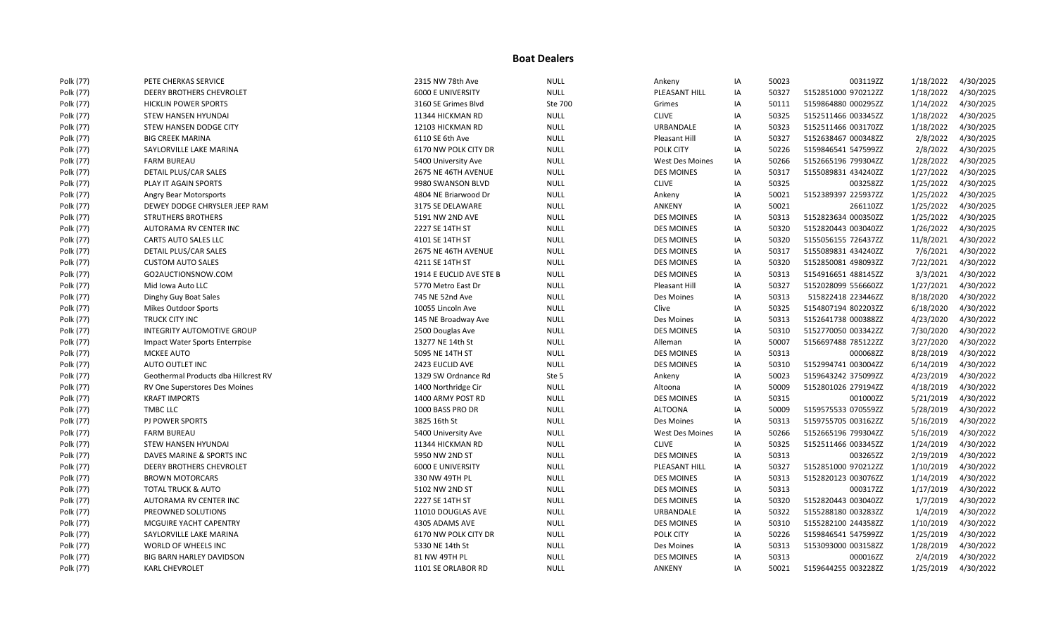| Polk (77) | PETE CHERKAS SERVICE                 | 2315 NW 78th Ave         | <b>NULL</b> | Ankeny                 | IA | 50023 | 003119ZZ            | 1/18/2022 | 4/30/2025 |
|-----------|--------------------------------------|--------------------------|-------------|------------------------|----|-------|---------------------|-----------|-----------|
| Polk (77) | <b>DEERY BROTHERS CHEVROLET</b>      | <b>6000 E UNIVERSITY</b> | <b>NULL</b> | PLEASANT HILL          | ΙA | 50327 | 5152851000 970212ZZ | 1/18/2022 | 4/30/2025 |
| Polk (77) | <b>HICKLIN POWER SPORTS</b>          | 3160 SE Grimes Blvd      | Ste 700     | Grimes                 | IA | 50111 | 5159864880 000295ZZ | 1/14/2022 | 4/30/2025 |
| Polk (77) | <b>STEW HANSEN HYUNDAI</b>           | 11344 HICKMAN RD         | <b>NULL</b> | <b>CLIVE</b>           | IA | 50325 | 5152511466 003345ZZ | 1/18/2022 | 4/30/2025 |
| Polk (77) | STEW HANSEN DODGE CITY               | 12103 HICKMAN RD         | <b>NULL</b> | URBANDALE              | IA | 50323 | 5152511466 003170ZZ | 1/18/2022 | 4/30/2025 |
| Polk (77) | <b>BIG CREEK MARINA</b>              | 6110 SE 6th Ave          | <b>NULL</b> | Pleasant Hill          | IA | 50327 | 5152638467 000348ZZ | 2/8/2022  | 4/30/2025 |
| Polk (77) | SAYLORVILLE LAKE MARINA              | 6170 NW POLK CITY DR     | <b>NULL</b> | POLK CITY              | ΙA | 50226 | 5159846541 547599ZZ | 2/8/2022  | 4/30/2025 |
| Polk (77) | <b>FARM BUREAU</b>                   | 5400 University Ave      | <b>NULL</b> | <b>West Des Moines</b> | IA | 50266 | 5152665196 799304ZZ | 1/28/2022 | 4/30/2025 |
| Polk (77) | DETAIL PLUS/CAR SALES                | 2675 NE 46TH AVENUE      | <b>NULL</b> | <b>DES MOINES</b>      | IA | 50317 | 5155089831 434240ZZ | 1/27/2022 | 4/30/2025 |
| Polk (77) | PLAY IT AGAIN SPORTS                 | 9980 SWANSON BLVD        | <b>NULL</b> | <b>CLIVE</b>           | IA | 50325 | 003258ZZ            | 1/25/2022 | 4/30/2025 |
| Polk (77) | Angry Bear Motorsports               | 4804 NE Briarwood Dr     | <b>NULL</b> | Ankeny                 | IA | 50021 | 5152389397 225937ZZ | 1/25/2022 | 4/30/2025 |
| Polk (77) | DEWEY DODGE CHRYSLER JEEP RAM        | 3175 SE DELAWARE         | <b>NULL</b> | ANKENY                 | IA | 50021 | 266110ZZ            | 1/25/2022 | 4/30/2025 |
| Polk (77) | <b>STRUTHERS BROTHERS</b>            | 5191 NW 2ND AVE          | <b>NULL</b> | <b>DES MOINES</b>      | IA | 50313 | 5152823634 000350ZZ | 1/25/2022 | 4/30/2025 |
| Polk (77) | AUTORAMA RV CENTER INC               | 2227 SE 14TH ST          | <b>NULL</b> | <b>DES MOINES</b>      | ΙA | 50320 | 5152820443 003040ZZ | 1/26/2022 | 4/30/2025 |
| Polk (77) | <b>CARTS AUTO SALES LLC</b>          | 4101 SE 14TH ST          | <b>NULL</b> | <b>DES MOINES</b>      | IA | 50320 | 5155056155 726437ZZ | 11/8/2021 | 4/30/2022 |
| Polk (77) | DETAIL PLUS/CAR SALES                | 2675 NE 46TH AVENUE      | <b>NULL</b> | <b>DES MOINES</b>      | IA | 50317 | 5155089831 434240ZZ | 7/6/2021  | 4/30/2022 |
| Polk (77) | <b>CUSTOM AUTO SALES</b>             | 4211 SE 14TH ST          | <b>NULL</b> | <b>DES MOINES</b>      | IA | 50320 | 5152850081 498093ZZ | 7/22/2021 | 4/30/2022 |
| Polk (77) | GO2AUCTIONSNOW.COM                   | 1914 E EUCLID AVE STE B  | <b>NULL</b> | <b>DES MOINES</b>      | IA | 50313 | 5154916651 488145ZZ | 3/3/2021  | 4/30/2022 |
| Polk (77) | Mid Iowa Auto LLC                    | 5770 Metro East Dr       | <b>NULL</b> | Pleasant Hill          | ΙA | 50327 | 5152028099 556660ZZ | 1/27/2021 | 4/30/2022 |
| Polk (77) | Dinghy Guy Boat Sales                | 745 NE 52nd Ave          | <b>NULL</b> | Des Moines             | IA | 50313 | 515822418 223446ZZ  | 8/18/2020 | 4/30/2022 |
| Polk (77) | Mikes Outdoor Sports                 | 10055 Lincoln Ave        | <b>NULL</b> | Clive                  | IA | 50325 | 5154807194 802203ZZ | 6/18/2020 | 4/30/2022 |
| Polk (77) | TRUCK CITY INC                       | 145 NE Broadway Ave      | <b>NULL</b> | Des Moines             | IA | 50313 | 5152641738 000388ZZ | 4/23/2020 | 4/30/2022 |
| Polk (77) | INTEGRITY AUTOMOTIVE GROUP           | 2500 Douglas Ave         | <b>NULL</b> | <b>DES MOINES</b>      | IA | 50310 | 5152770050 003342ZZ | 7/30/2020 | 4/30/2022 |
| Polk (77) | Impact Water Sports Enterrpise       | 13277 NE 14th St         | <b>NULL</b> | Alleman                | IA | 50007 | 5156697488 785122ZZ | 3/27/2020 | 4/30/2022 |
| Polk (77) | MCKEE AUTO                           | 5095 NE 14TH ST          | <b>NULL</b> | <b>DES MOINES</b>      | IA | 50313 | 000068ZZ            | 8/28/2019 | 4/30/2022 |
| Polk (77) | AUTO OUTLET INC                      | 2423 EUCLID AVE          | <b>NULL</b> | <b>DES MOINES</b>      | IA | 50310 | 5152994741 003004ZZ | 6/14/2019 | 4/30/2022 |
| Polk (77) | Geothermal Products dba Hillcrest RV | 1329 SW Ordnance Rd      | Ste 5       | Ankeny                 | IA | 50023 | 5159643242 375099ZZ | 4/23/2019 | 4/30/2022 |
| Polk (77) | RV One Superstores Des Moines        | 1400 Northridge Cir      | <b>NULL</b> | Altoona                | ΙA | 50009 | 5152801026 279194ZZ | 4/18/2019 | 4/30/2022 |
| Polk (77) | <b>KRAFT IMPORTS</b>                 | 1400 ARMY POST RD        | <b>NULL</b> | <b>DES MOINES</b>      | IA | 50315 | 001000ZZ            | 5/21/2019 | 4/30/2022 |
| Polk (77) | <b>TMBC LLC</b>                      | 1000 BASS PRO DR         | <b>NULL</b> | <b>ALTOONA</b>         | IA | 50009 | 5159575533 070559ZZ | 5/28/2019 | 4/30/2022 |
| Polk (77) | PJ POWER SPORTS                      | 3825 16th St             | <b>NULL</b> | Des Moines             | IA | 50313 | 5159755705 003162ZZ | 5/16/2019 | 4/30/2022 |
| Polk (77) | <b>FARM BUREAU</b>                   | 5400 University Ave      | <b>NULL</b> | <b>West Des Moines</b> | ΙA | 50266 | 5152665196 799304ZZ | 5/16/2019 | 4/30/2022 |
| Polk (77) | STEW HANSEN HYUNDAI                  | 11344 HICKMAN RD         | <b>NULL</b> | <b>CLIVE</b>           | IA | 50325 | 5152511466 003345ZZ | 1/24/2019 | 4/30/2022 |
| Polk (77) | DAVES MARINE & SPORTS INC            | 5950 NW 2ND ST           | <b>NULL</b> | <b>DES MOINES</b>      | IA | 50313 | 003265ZZ            | 2/19/2019 | 4/30/2022 |
| Polk (77) | <b>DEERY BROTHERS CHEVROLET</b>      | <b>6000 E UNIVERSITY</b> | <b>NULL</b> | PLEASANT HILL          | IA | 50327 | 5152851000 970212ZZ | 1/10/2019 | 4/30/2022 |
| Polk (77) | <b>BROWN MOTORCARS</b>               | 330 NW 49TH PL           | <b>NULL</b> | <b>DES MOINES</b>      | IA | 50313 | 5152820123 003076ZZ | 1/14/2019 | 4/30/2022 |
| Polk (77) | <b>TOTAL TRUCK &amp; AUTO</b>        | 5102 NW 2ND ST           | <b>NULL</b> | <b>DES MOINES</b>      | IA | 50313 | 000317ZZ            | 1/17/2019 | 4/30/2022 |
| Polk (77) | AUTORAMA RV CENTER INC               | 2227 SE 14TH ST          | <b>NULL</b> | <b>DES MOINES</b>      | ΙA | 50320 | 5152820443 003040ZZ | 1/7/2019  | 4/30/2022 |
| Polk (77) | PREOWNED SOLUTIONS                   | 11010 DOUGLAS AVE        | <b>NULL</b> | URBANDALE              | IA | 50322 | 5155288180 003283ZZ | 1/4/2019  | 4/30/2022 |
| Polk (77) | MCGUIRE YACHT CAPENTRY               | 4305 ADAMS AVE           | <b>NULL</b> | <b>DES MOINES</b>      | IA | 50310 | 5155282100 244358ZZ | 1/10/2019 | 4/30/2022 |
| Polk (77) | SAYLORVILLE LAKE MARINA              | 6170 NW POLK CITY DR     | <b>NULL</b> | POLK CITY              | IA | 50226 | 5159846541 547599ZZ | 1/25/2019 | 4/30/2022 |
| Polk (77) | WORLD OF WHEELS INC                  | 5330 NE 14th St          | <b>NULL</b> | Des Moines             | IA | 50313 | 5153093000 003158ZZ | 1/28/2019 | 4/30/2022 |
| Polk (77) | BIG BARN HARLEY DAVIDSON             | 81 NW 49TH PL            | <b>NULL</b> | <b>DES MOINES</b>      | IA | 50313 | 000016ZZ            | 2/4/2019  | 4/30/2022 |
| Polk (77) | <b>KARL CHEVROLET</b>                | 1101 SE ORLABOR RD       | <b>NULL</b> | <b>ANKENY</b>          | IA | 50021 | 5159644255 003228ZZ | 1/25/2019 | 4/30/2022 |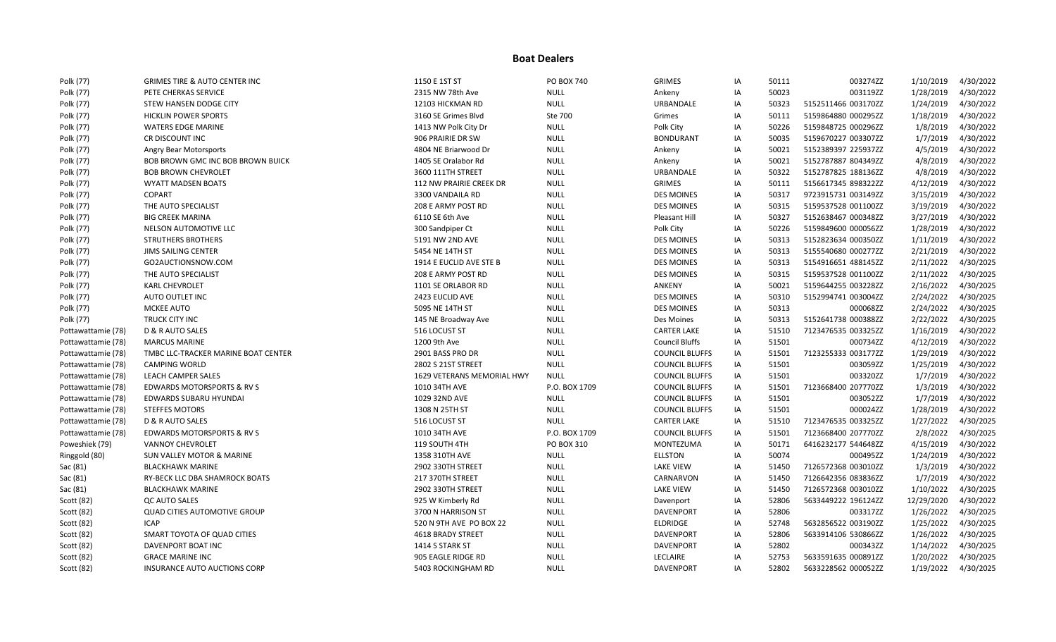| Polk (77)          | <b>GRIMES TIRE &amp; AUTO CENTER INC</b> | 1150 E 1ST ST              | PO BOX 740    | <b>GRIMES</b>         | IA | 50111 | 003274ZZ            | 1/10/2019  | 4/30/2022 |
|--------------------|------------------------------------------|----------------------------|---------------|-----------------------|----|-------|---------------------|------------|-----------|
| Polk (77)          | PETE CHERKAS SERVICE                     | 2315 NW 78th Ave           | <b>NULL</b>   | Ankeny                | ΙA | 50023 | 003119ZZ            | 1/28/2019  | 4/30/2022 |
| Polk (77)          | STEW HANSEN DODGE CITY                   | 12103 HICKMAN RD           | <b>NULL</b>   | <b>URBANDALE</b>      | IA | 50323 | 5152511466 003170ZZ | 1/24/2019  | 4/30/2022 |
| Polk (77)          | <b>HICKLIN POWER SPORTS</b>              | 3160 SE Grimes Blvd        | Ste 700       | Grimes                | IA | 50111 | 5159864880 000295ZZ | 1/18/2019  | 4/30/2022 |
| Polk (77)          | <b>WATERS EDGE MARINE</b>                | 1413 NW Polk City Dr       | <b>NULL</b>   | Polk City             | IA | 50226 | 5159848725 000296ZZ | 1/8/2019   | 4/30/2022 |
| Polk (77)          | CR DISCOUNT INC                          | 906 PRAIRIE DR SW          | <b>NULL</b>   | <b>BONDURANT</b>      | IA | 50035 | 5159670227 003307ZZ | 1/7/2019   | 4/30/2022 |
| Polk (77)          | Angry Bear Motorsports                   | 4804 NE Briarwood Dr       | <b>NULL</b>   | Ankeny                | IA | 50021 | 5152389397 225937ZZ | 4/5/2019   | 4/30/2022 |
| Polk (77)          | BOB BROWN GMC INC BOB BROWN BUICK        | 1405 SE Oralabor Rd        | <b>NULL</b>   | Ankeny                | ΙA | 50021 | 5152787887 804349ZZ | 4/8/2019   | 4/30/2022 |
| Polk (77)          | <b>BOB BROWN CHEVROLET</b>               | 3600 111TH STREET          | <b>NULL</b>   | URBANDALE             | IA | 50322 | 5152787825 188136ZZ | 4/8/2019   | 4/30/2022 |
| Polk (77)          | <b>WYATT MADSEN BOATS</b>                | 112 NW PRAIRIE CREEK DR    | <b>NULL</b>   | <b>GRIMES</b>         | IA | 50111 | 5156617345 898322ZZ | 4/12/2019  | 4/30/2022 |
| Polk (77)          | <b>COPART</b>                            | 3300 VANDAILA RD           | <b>NULL</b>   | <b>DES MOINES</b>     | ΙA | 50317 | 9723915731 003149ZZ | 3/15/2019  | 4/30/2022 |
| Polk (77)          | THE AUTO SPECIALIST                      | 208 E ARMY POST RD         | <b>NULL</b>   | <b>DES MOINES</b>     | IA | 50315 | 5159537528 001100ZZ | 3/19/2019  | 4/30/2022 |
| Polk (77)          | <b>BIG CREEK MARINA</b>                  | 6110 SE 6th Ave            | <b>NULL</b>   | Pleasant Hill         | IA | 50327 | 5152638467 000348ZZ | 3/27/2019  | 4/30/2022 |
| Polk (77)          | NELSON AUTOMOTIVE LLC                    | 300 Sandpiper Ct           | <b>NULL</b>   | Polk City             | IA | 50226 | 5159849600 000056ZZ | 1/28/2019  | 4/30/2022 |
| Polk (77)          | <b>STRUTHERS BROTHERS</b>                | 5191 NW 2ND AVE            | <b>NULL</b>   | <b>DES MOINES</b>     | IA | 50313 | 5152823634 000350ZZ | 1/11/2019  | 4/30/2022 |
| Polk (77)          | JIMS SAILING CENTER                      | 5454 NE 14TH ST            | <b>NULL</b>   | <b>DES MOINES</b>     | ΙA | 50313 | 5155540680 000277ZZ | 2/21/2019  | 4/30/2022 |
| Polk (77)          | GO2AUCTIONSNOW.COM                       | 1914 E EUCLID AVE STE B    | <b>NULL</b>   | <b>DES MOINES</b>     | IA | 50313 | 5154916651 488145ZZ | 2/11/2022  | 4/30/2025 |
| Polk (77)          | THE AUTO SPECIALIST                      | 208 E ARMY POST RD         | <b>NULL</b>   | <b>DES MOINES</b>     | IA | 50315 | 5159537528 001100ZZ | 2/11/2022  | 4/30/2025 |
| Polk (77)          | <b>KARL CHEVROLET</b>                    | 1101 SE ORLABOR RD         | <b>NULL</b>   | ANKENY                | ΙA | 50021 | 5159644255 003228ZZ | 2/16/2022  | 4/30/2025 |
| Polk (77)          | AUTO OUTLET INC                          | 2423 EUCLID AVE            | <b>NULL</b>   | <b>DES MOINES</b>     | IA | 50310 | 5152994741 003004ZZ | 2/24/2022  | 4/30/2025 |
| Polk (77)          | MCKEE AUTO                               | 5095 NE 14TH ST            | <b>NULL</b>   | <b>DES MOINES</b>     | IA | 50313 | 000068ZZ            | 2/24/2022  | 4/30/2025 |
| Polk (77)          | <b>TRUCK CITY INC</b>                    | 145 NE Broadway Ave        | <b>NULL</b>   | Des Moines            | ΙA | 50313 | 5152641738 000388ZZ | 2/22/2022  | 4/30/2025 |
| Pottawattamie (78) | D & R AUTO SALES                         | 516 LOCUST ST              | <b>NULL</b>   | <b>CARTER LAKE</b>    | IA | 51510 | 7123476535 003325ZZ | 1/16/2019  | 4/30/2022 |
| Pottawattamie (78) | <b>MARCUS MARINE</b>                     | 1200 9th Ave               | <b>NULL</b>   | <b>Council Bluffs</b> | ΙA | 51501 | 000734ZZ            | 4/12/2019  | 4/30/2022 |
| Pottawattamie (78) | TMBC LLC-TRACKER MARINE BOAT CENTER      | 2901 BASS PRO DR           | <b>NULL</b>   | <b>COUNCIL BLUFFS</b> | IA | 51501 | 7123255333 003177ZZ | 1/29/2019  | 4/30/2022 |
| Pottawattamie (78) | <b>CAMPING WORLD</b>                     | 2802 S 21ST STREET         | <b>NULL</b>   | <b>COUNCIL BLUFFS</b> | IA | 51501 | 003059ZZ            | 1/25/2019  | 4/30/2022 |
| Pottawattamie (78) | <b>LEACH CAMPER SALES</b>                | 1629 VETERANS MEMORIAL HWY | <b>NULL</b>   | <b>COUNCIL BLUFFS</b> | ΙA | 51501 | 003320ZZ            | 1/7/2019   | 4/30/2022 |
| Pottawattamie (78) | <b>EDWARDS MOTORSPORTS &amp; RV S</b>    | 1010 34TH AVE              | P.O. BOX 1709 | <b>COUNCIL BLUFFS</b> | IA | 51501 | 7123668400 207770ZZ | 1/3/2019   | 4/30/2022 |
| Pottawattamie (78) | EDWARDS SUBARU HYUNDAI                   | 1029 32ND AVE              | <b>NULL</b>   | <b>COUNCIL BLUFFS</b> | IA | 51501 | 003052ZZ            | 1/7/2019   | 4/30/2022 |
| Pottawattamie (78) | <b>STEFFES MOTORS</b>                    | 1308 N 25TH ST             | <b>NULL</b>   | <b>COUNCIL BLUFFS</b> | IA | 51501 | 000024ZZ            | 1/28/2019  | 4/30/2022 |
| Pottawattamie (78) | D & R AUTO SALES                         | 516 LOCUST ST              | <b>NULL</b>   | <b>CARTER LAKE</b>    | IA | 51510 | 7123476535 003325ZZ | 1/27/2022  | 4/30/2025 |
| Pottawattamie (78) | EDWARDS MOTORSPORTS & RV S               | 1010 34TH AVE              | P.O. BOX 1709 | <b>COUNCIL BLUFFS</b> | IA | 51501 | 7123668400 207770ZZ | 2/8/2022   | 4/30/2025 |
| Poweshiek (79)     | <b>VANNOY CHEVROLET</b>                  | 119 SOUTH 4TH              | PO BOX 310    | <b>MONTEZUMA</b>      | IA | 50171 | 6416232177 544648ZZ | 4/15/2019  | 4/30/2022 |
| Ringgold (80)      | <b>SUN VALLEY MOTOR &amp; MARINE</b>     | 1358 310TH AVE             | <b>NULL</b>   | <b>ELLSTON</b>        | IA | 50074 | 000495ZZ            | 1/24/2019  | 4/30/2022 |
| Sac (81)           | <b>BLACKHAWK MARINE</b>                  | 2902 330TH STREET          | <b>NULL</b>   | <b>LAKE VIEW</b>      | ΙA | 51450 | 7126572368 003010ZZ | 1/3/2019   | 4/30/2022 |
| Sac (81)           | RY-BECK LLC DBA SHAMROCK BOATS           | 217 370TH STREET           | <b>NULL</b>   | CARNARVON             | IA | 51450 | 7126642356 083836ZZ | 1/7/2019   | 4/30/2022 |
| Sac (81)           | <b>BLACKHAWK MARINE</b>                  | 2902 330TH STREET          | <b>NULL</b>   | <b>LAKE VIEW</b>      | IA | 51450 | 7126572368 003010ZZ | 1/10/2022  | 4/30/2025 |
| Scott (82)         | QC AUTO SALES                            | 925 W Kimberly Rd          | <b>NULL</b>   | Davenport             | ΙA | 52806 | 5633449222 196124ZZ | 12/29/2020 | 4/30/2022 |
| Scott (82)         | <b>QUAD CITIES AUTOMOTIVE GROUP</b>      | 3700 N HARRISON ST         | <b>NULL</b>   | <b>DAVENPORT</b>      | IA | 52806 | 003317ZZ            | 1/26/2022  | 4/30/2025 |
| Scott (82)         | <b>ICAP</b>                              | 520 N 9TH AVE PO BOX 22    | <b>NULL</b>   | <b>ELDRIDGE</b>       | IA | 52748 | 5632856522 003190ZZ | 1/25/2022  | 4/30/2025 |
| Scott (82)         | SMART TOYOTA OF QUAD CITIES              | 4618 BRADY STREET          | <b>NULL</b>   | <b>DAVENPORT</b>      | IA | 52806 | 5633914106 530866ZZ | 1/26/2022  | 4/30/2025 |
| Scott (82)         | DAVENPORT BOAT INC                       | 1414 S STARK ST            | <b>NULL</b>   | <b>DAVENPORT</b>      | IA | 52802 | 000343ZZ            | 1/14/2022  | 4/30/2025 |
| Scott (82)         | <b>GRACE MARINE INC</b>                  | 905 EAGLE RIDGE RD         | <b>NULL</b>   | LECLAIRE              | IA | 52753 | 5633591635 000891ZZ | 1/20/2022  | 4/30/2025 |
| Scott (82)         | INSURANCE AUTO AUCTIONS CORP             | 5403 ROCKINGHAM RD         | <b>NULL</b>   | <b>DAVENPORT</b>      | IA | 52802 | 5633228562 000052ZZ | 1/19/2022  | 4/30/2025 |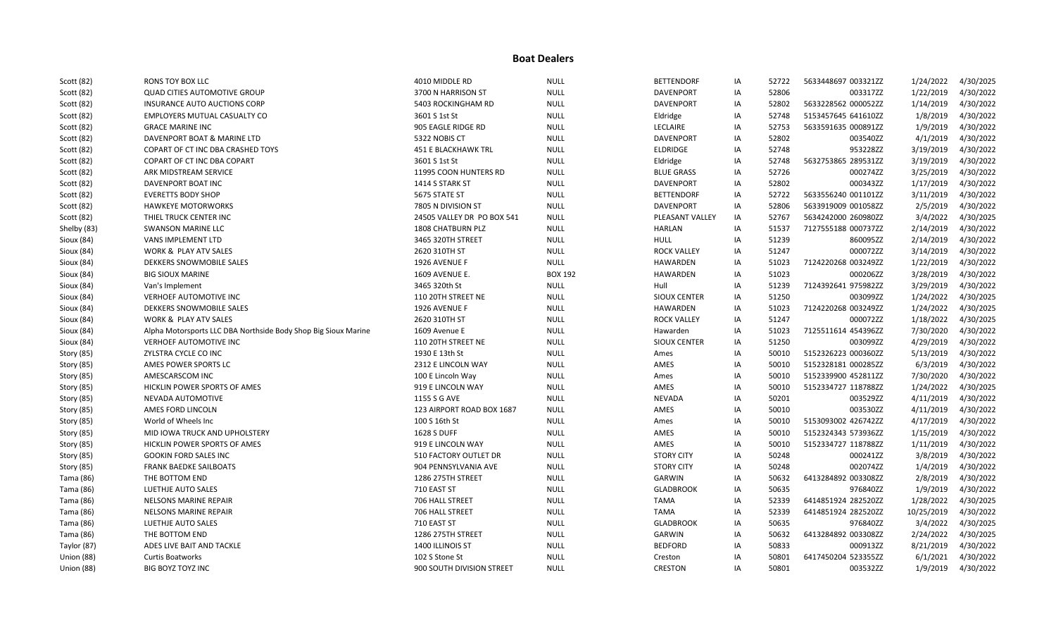| Scott (82)  | RONS TOY BOX LLC                                               | 4010 MIDDLE RD             | <b>NULL</b>    | <b>BETTENDORF</b>   | IA | 52722 | 5633448697 003321ZZ | 1/24/2022  | 4/30/2025 |
|-------------|----------------------------------------------------------------|----------------------------|----------------|---------------------|----|-------|---------------------|------------|-----------|
| Scott (82)  | <b>QUAD CITIES AUTOMOTIVE GROUP</b>                            | 3700 N HARRISON ST         | <b>NULL</b>    | <b>DAVENPORT</b>    | ΙA | 52806 | 003317ZZ            | 1/22/2019  | 4/30/2022 |
| Scott (82)  | <b>INSURANCE AUTO AUCTIONS CORP</b>                            | 5403 ROCKINGHAM RD         | <b>NULL</b>    | <b>DAVENPORT</b>    | IA | 52802 | 5633228562 000052ZZ | 1/14/2019  | 4/30/2022 |
| Scott (82)  | <b>EMPLOYERS MUTUAL CASUALTY CO</b>                            | 3601 S 1st St              | <b>NULL</b>    | Eldridge            | IA | 52748 | 5153457645 641610ZZ | 1/8/2019   | 4/30/2022 |
| Scott (82)  | <b>GRACE MARINE INC</b>                                        | 905 EAGLE RIDGE RD         | <b>NULL</b>    | LECLAIRE            | IA | 52753 | 5633591635 000891ZZ | 1/9/2019   | 4/30/2022 |
| Scott (82)  | DAVENPORT BOAT & MARINE LTD                                    | 5322 NOBIS CT              | <b>NULL</b>    | <b>DAVENPORT</b>    | IA | 52802 | 003540ZZ            | 4/1/2019   | 4/30/2022 |
| Scott (82)  | COPART OF CT INC DBA CRASHED TOYS                              | 451 E BLACKHAWK TRL        | <b>NULL</b>    | <b>ELDRIDGE</b>     | IA | 52748 | 953228ZZ            | 3/19/2019  | 4/30/2022 |
| Scott (82)  | <b>COPART OF CT INC DBA COPART</b>                             | 3601 S 1st St              | <b>NULL</b>    | Eldridge            | IA | 52748 | 5632753865 289531ZZ | 3/19/2019  | 4/30/2022 |
| Scott (82)  | ARK MIDSTREAM SERVICE                                          | 11995 COON HUNTERS RD      | <b>NULL</b>    | <b>BLUE GRASS</b>   | IA | 52726 | 000274ZZ            | 3/25/2019  | 4/30/2022 |
| Scott (82)  | DAVENPORT BOAT INC                                             | 1414 S STARK ST            | <b>NULL</b>    | <b>DAVENPORT</b>    | IA | 52802 | 000343ZZ            | 1/17/2019  | 4/30/2022 |
| Scott (82)  | <b>EVERETTS BODY SHOP</b>                                      | 5675 STATE ST              | <b>NULL</b>    | <b>BETTENDORF</b>   | IA | 52722 | 5633556240 001101ZZ | 3/11/2019  | 4/30/2022 |
| Scott (82)  | <b>HAWKEYE MOTORWORKS</b>                                      | 7805 N DIVISION ST         | <b>NULL</b>    | <b>DAVENPORT</b>    | IA | 52806 | 5633919009 001058ZZ | 2/5/2019   | 4/30/2022 |
| Scott (82)  | THIEL TRUCK CENTER INC                                         | 24505 VALLEY DR PO BOX 541 | <b>NULL</b>    | PLEASANT VALLEY     | IA | 52767 | 5634242000 260980ZZ | 3/4/2022   | 4/30/2025 |
| Shelby (83) | <b>SWANSON MARINE LLC</b>                                      | 1808 CHATBURN PLZ          | <b>NULL</b>    | <b>HARLAN</b>       | IA | 51537 | 7127555188 000737ZZ | 2/14/2019  | 4/30/2022 |
| Sioux (84)  | <b>VANS IMPLEMENT LTD</b>                                      | 3465 320TH STREET          | <b>NULL</b>    | <b>HULL</b>         | ΙA | 51239 | 860095ZZ            | 2/14/2019  | 4/30/2022 |
| Sioux (84)  | <b>WORK &amp; PLAY ATV SALES</b>                               | 2620 310TH ST              | <b>NULL</b>    | <b>ROCK VALLEY</b>  | IA | 51247 | 000072ZZ            | 3/14/2019  | 4/30/2022 |
| Sioux (84)  | DEKKERS SNOWMOBILE SALES                                       | 1926 AVENUE F              | <b>NULL</b>    | <b>HAWARDEN</b>     | IA | 51023 | 7124220268 003249ZZ | 1/22/2019  | 4/30/2022 |
| Sioux (84)  | <b>BIG SIOUX MARINE</b>                                        | <b>1609 AVENUE E.</b>      | <b>BOX 192</b> | HAWARDEN            | IA | 51023 | 000206ZZ            | 3/28/2019  | 4/30/2022 |
| Sioux (84)  | Van's Implement                                                | 3465 320th St              | <b>NULL</b>    | Hull                | IA | 51239 | 7124392641 975982ZZ | 3/29/2019  | 4/30/2022 |
| Sioux (84)  | VERHOEF AUTOMOTIVE INC                                         | 110 20TH STREET NE         | <b>NULL</b>    | SIOUX CENTER        | ΙA | 51250 | 003099ZZ            | 1/24/2022  | 4/30/2025 |
| Sioux (84)  | DEKKERS SNOWMOBILE SALES                                       | 1926 AVENUE F              | <b>NULL</b>    | HAWARDEN            | IA | 51023 | 7124220268 003249ZZ | 1/24/2022  | 4/30/2025 |
| Sioux (84)  | <b>WORK &amp; PLAY ATV SALES</b>                               | 2620 310TH ST              | <b>NULL</b>    | <b>ROCK VALLEY</b>  | IA | 51247 | 000072ZZ            | 1/18/2022  | 4/30/2025 |
| Sioux (84)  | Alpha Motorsports LLC DBA Northside Body Shop Big Sioux Marine | 1609 Avenue E              | <b>NULL</b>    | Hawarden            | IA | 51023 | 7125511614 454396ZZ | 7/30/2020  | 4/30/2022 |
| Sioux (84)  | <b>VERHOEF AUTOMOTIVE INC</b>                                  | 110 20TH STREET NE         | <b>NULL</b>    | <b>SIOUX CENTER</b> | IA | 51250 | 003099ZZ            | 4/29/2019  | 4/30/2022 |
| Story (85)  | ZYLSTRA CYCLE CO INC                                           | 1930 E 13th St             | <b>NULL</b>    | Ames                | IA | 50010 | 5152326223 000360ZZ | 5/13/2019  | 4/30/2022 |
| Story (85)  | AMES POWER SPORTS LC                                           | 2312 E LINCOLN WAY         | <b>NULL</b>    | AMES                | IA | 50010 | 5152328181 000285ZZ | 6/3/2019   | 4/30/2022 |
| Story (85)  | AMESCARSCOM INC                                                | 100 E Lincoln Way          | <b>NULL</b>    | Ames                | IA | 50010 | 5152339900 452811ZZ | 7/30/2020  | 4/30/2022 |
| Story (85)  | HICKLIN POWER SPORTS OF AMES                                   | 919 E LINCOLN WAY          | <b>NULL</b>    | AMES                | IA | 50010 | 5152334727 118788ZZ | 1/24/2022  | 4/30/2025 |
| Story (85)  | NEVADA AUTOMOTIVE                                              | 1155 S G AVE               | <b>NULL</b>    | <b>NEVADA</b>       | IA | 50201 | 003529ZZ            | 4/11/2019  | 4/30/2022 |
| Story (85)  | AMES FORD LINCOLN                                              | 123 AIRPORT ROAD BOX 1687  | <b>NULL</b>    | AMES                | IA | 50010 | 003530ZZ            | 4/11/2019  | 4/30/2022 |
| Story (85)  | World of Wheels Inc                                            | 100 S 16th St              | <b>NULL</b>    | Ames                | IA | 50010 | 5153093002 426742ZZ | 4/17/2019  | 4/30/2022 |
| Story (85)  | MID IOWA TRUCK AND UPHOLSTERY                                  | <b>1628 S DUFF</b>         | <b>NULL</b>    | AMES                | IA | 50010 | 5152324343 573936ZZ | 1/15/2019  | 4/30/2022 |
| Story (85)  | HICKLIN POWER SPORTS OF AMES                                   | 919 E LINCOLN WAY          | <b>NULL</b>    | AMES                | IA | 50010 | 5152334727 118788ZZ | 1/11/2019  | 4/30/2022 |
| Story (85)  | <b>GOOKIN FORD SALES INC</b>                                   | 510 FACTORY OUTLET DR      | <b>NULL</b>    | <b>STORY CITY</b>   | IA | 50248 | 000241ZZ            | 3/8/2019   | 4/30/2022 |
| Story (85)  | <b>FRANK BAEDKE SAILBOATS</b>                                  | 904 PENNSYLVANIA AVE       | <b>NULL</b>    | <b>STORY CITY</b>   | IA | 50248 | 002074ZZ            | 1/4/2019   | 4/30/2022 |
| Tama (86)   | THE BOTTOM END                                                 | 1286 275TH STREET          | <b>NULL</b>    | GARWIN              | IA | 50632 | 6413284892 003308ZZ | 2/8/2019   | 4/30/2022 |
| Tama (86)   | LUETHJE AUTO SALES                                             | 710 EAST ST                | <b>NULL</b>    | <b>GLADBROOK</b>    | ΙA | 50635 | 976840ZZ            | 1/9/2019   | 4/30/2022 |
| Tama (86)   | <b>NELSONS MARINE REPAIR</b>                                   | 706 HALL STREET            | <b>NULL</b>    | <b>TAMA</b>         | IA | 52339 | 6414851924 282520ZZ | 1/28/2022  | 4/30/2025 |
| Tama (86)   | <b>NELSONS MARINE REPAIR</b>                                   | 706 HALL STREET            | <b>NULL</b>    | <b>TAMA</b>         | IA | 52339 | 6414851924 282520ZZ | 10/25/2019 | 4/30/2022 |
| Tama (86)   | LUETHJE AUTO SALES                                             | 710 EAST ST                | <b>NULL</b>    | <b>GLADBROOK</b>    | IA | 50635 | 976840ZZ            | 3/4/2022   | 4/30/2025 |
| Tama (86)   | THE BOTTOM END                                                 | 1286 275TH STREET          | <b>NULL</b>    | GARWIN              | IA | 50632 | 6413284892 003308ZZ | 2/24/2022  | 4/30/2025 |
| Taylor (87) | ADES LIVE BAIT AND TACKLE                                      | 1400 ILLINOIS ST           | <b>NULL</b>    | <b>BEDFORD</b>      | IA | 50833 | 000913ZZ            | 8/21/2019  | 4/30/2022 |
| Union (88)  | <b>Curtis Boatworks</b>                                        | 102 S Stone St             | <b>NULL</b>    | Creston             | IA | 50801 | 6417450204 523355ZZ | 6/1/2021   | 4/30/2022 |
| Union (88)  | <b>BIG BOYZ TOYZ INC</b>                                       | 900 SOUTH DIVISION STREET  | <b>NULL</b>    | <b>CRESTON</b>      | IA | 50801 | 003532ZZ            | 1/9/2019   | 4/30/2022 |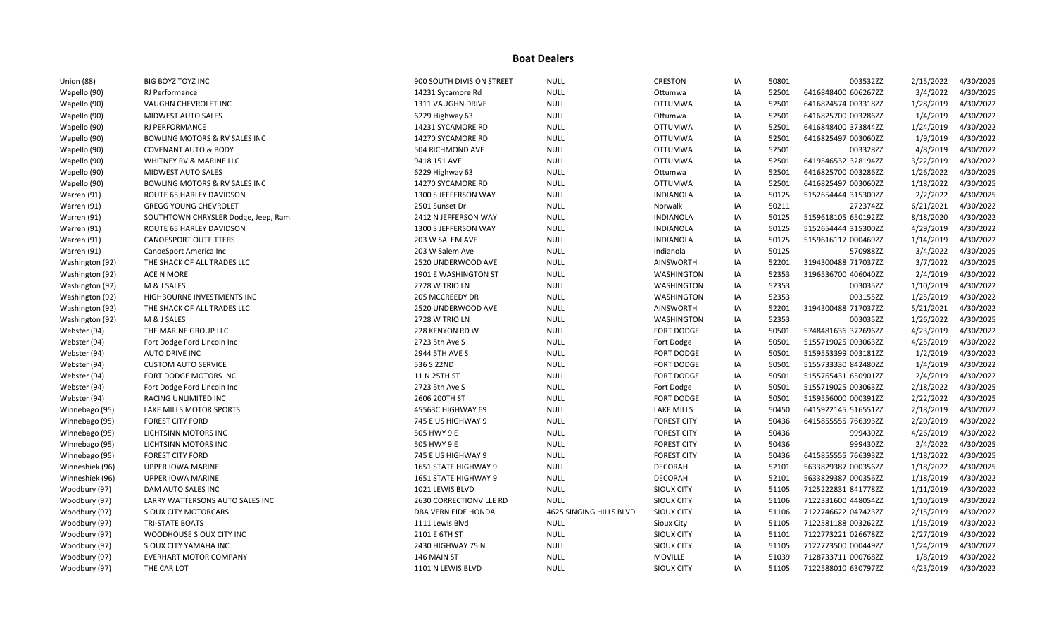| Union (88)      | <b>BIG BOYZ TOYZ INC</b>                 | 900 SOUTH DIVISION STREET | <b>NULL</b>             | <b>CRESTON</b>     | IA | 50801 | 003532ZZ            | 2/15/2022 | 4/30/2025 |
|-----------------|------------------------------------------|---------------------------|-------------------------|--------------------|----|-------|---------------------|-----------|-----------|
| Wapello (90)    | RJ Performance                           | 14231 Sycamore Rd         | <b>NULL</b>             | Ottumwa            | ΙA | 52501 | 6416848400 606267ZZ | 3/4/2022  | 4/30/2025 |
| Wapello (90)    | VAUGHN CHEVROLET INC                     | 1311 VAUGHN DRIVE         | <b>NULL</b>             | <b>OTTUMWA</b>     | IA | 52501 | 6416824574 003318ZZ | 1/28/2019 | 4/30/2022 |
| Wapello (90)    | <b>MIDWEST AUTO SALES</b>                | 6229 Highway 63           | <b>NULL</b>             | Ottumwa            | IA | 52501 | 6416825700 003286ZZ | 1/4/2019  | 4/30/2022 |
| Wapello (90)    | <b>RJ PERFORMANCE</b>                    | 14231 SYCAMORE RD         | <b>NULL</b>             | <b>OTTUMWA</b>     | IA | 52501 | 6416848400 373844ZZ | 1/24/2019 | 4/30/2022 |
| Wapello (90)    | <b>BOWLING MOTORS &amp; RV SALES INC</b> | 14270 SYCAMORE RD         | <b>NULL</b>             | <b>OTTUMWA</b>     | IA | 52501 | 6416825497 003060ZZ | 1/9/2019  | 4/30/2022 |
| Wapello (90)    | <b>COVENANT AUTO &amp; BODY</b>          | 504 RICHMOND AVE          | <b>NULL</b>             | <b>OTTUMWA</b>     | IA | 52501 | 003328ZZ            | 4/8/2019  | 4/30/2022 |
| Wapello (90)    | WHITNEY RV & MARINE LLC                  | 9418 151 AVE              | <b>NULL</b>             | <b>OTTUMWA</b>     | IA | 52501 | 6419546532 328194ZZ | 3/22/2019 | 4/30/2022 |
| Wapello (90)    | <b>MIDWEST AUTO SALES</b>                | 6229 Highway 63           | <b>NULL</b>             | Ottumwa            | ΙA | 52501 | 6416825700 003286ZZ | 1/26/2022 | 4/30/2025 |
| Wapello (90)    | BOWLING MOTORS & RV SALES INC            | 14270 SYCAMORE RD         | <b>NULL</b>             | <b>OTTUMWA</b>     | IA | 52501 | 6416825497 003060ZZ | 1/18/2022 | 4/30/2025 |
| Warren (91)     | ROUTE 65 HARLEY DAVIDSON                 | 1300 S JEFFERSON WAY      | <b>NULL</b>             | INDIANOLA          | IA | 50125 | 5152654444 315300ZZ | 2/2/2022  | 4/30/2025 |
| Warren (91)     | <b>GREGG YOUNG CHEVROLET</b>             | 2501 Sunset Dr            | <b>NULL</b>             | Norwalk            | IA | 50211 | 272374ZZ            | 6/21/2021 | 4/30/2022 |
| Warren (91)     | SOUTHTOWN CHRYSLER Dodge, Jeep, Ram      | 2412 N JEFFERSON WAY      | <b>NULL</b>             | <b>INDIANOLA</b>   | IA | 50125 | 5159618105 650192ZZ | 8/18/2020 | 4/30/2022 |
| Warren (91)     | ROUTE 65 HARLEY DAVIDSON                 | 1300 S JEFFERSON WAY      | <b>NULL</b>             | <b>INDIANOLA</b>   | IA | 50125 | 5152654444 315300ZZ | 4/29/2019 | 4/30/2022 |
| Warren (91)     | <b>CANOESPORT OUTFITTERS</b>             | 203 W SALEM AVE           | <b>NULL</b>             | <b>INDIANOLA</b>   | IA | 50125 | 5159616117 000469ZZ | 1/14/2019 | 4/30/2022 |
| Warren (91)     | CanoeSport America Inc                   | 203 W Salem Ave           | <b>NULL</b>             | Indianola          | ΙA | 50125 | 570988ZZ            | 3/4/2022  | 4/30/2025 |
| Washington (92) | THE SHACK OF ALL TRADES LLC              | 2520 UNDERWOOD AVE        | <b>NULL</b>             | <b>AINSWORTH</b>   | IA | 52201 | 3194300488 717037ZZ | 3/7/2022  | 4/30/2025 |
| Washington (92) | ACE N MORE                               | 1901 E WASHINGTON ST      | <b>NULL</b>             | WASHINGTON         | IA | 52353 | 3196536700 406040ZZ | 2/4/2019  | 4/30/2022 |
| Washington (92) | M & J SALES                              | 2728 W TRIO LN            | <b>NULL</b>             | WASHINGTON         | IA | 52353 | 003035ZZ            | 1/10/2019 | 4/30/2022 |
| Washington (92) | HIGHBOURNE INVESTMENTS INC               | 205 MCCREEDY DR           | <b>NULL</b>             | WASHINGTON         | ΙA | 52353 | 003155ZZ            | 1/25/2019 | 4/30/2022 |
| Washington (92) | THE SHACK OF ALL TRADES LLC              | 2520 UNDERWOOD AVE        | <b>NULL</b>             | <b>AINSWORTH</b>   | IA | 52201 | 3194300488 717037ZZ | 5/21/2021 | 4/30/2022 |
| Washington (92) | M & J SALES                              | 2728 W TRIO LN            | <b>NULL</b>             | WASHINGTON         | IA | 52353 | 003035ZZ            | 1/26/2022 | 4/30/2025 |
| Webster (94)    | THE MARINE GROUP LLC                     | 228 KENYON RD W           | <b>NULL</b>             | <b>FORT DODGE</b>  | IA | 50501 | 5748481636 372696ZZ | 4/23/2019 | 4/30/2022 |
| Webster (94)    | Fort Dodge Ford Lincoln Inc              | 2723 5th Ave S            | <b>NULL</b>             | Fort Dodge         | IA | 50501 | 5155719025 003063ZZ | 4/25/2019 | 4/30/2022 |
| Webster (94)    | <b>AUTO DRIVE INC</b>                    | 2944 5TH AVE S            | <b>NULL</b>             | <b>FORT DODGE</b>  | ΙA | 50501 | 5159553399 003181ZZ | 1/2/2019  | 4/30/2022 |
| Webster (94)    | <b>CUSTOM AUTO SERVICE</b>               | 536 S 22ND                | <b>NULL</b>             | <b>FORT DODGE</b>  | IA | 50501 | 5155733330 842480ZZ | 1/4/2019  | 4/30/2022 |
| Webster (94)    | FORT DODGE MOTORS INC                    | 11 N 25TH ST              | <b>NULL</b>             | <b>FORT DODGE</b>  | ΙA | 50501 | 5155765431 650901ZZ | 2/4/2019  | 4/30/2022 |
| Webster (94)    | Fort Dodge Ford Lincoln Inc              | 2723 5th Ave S            | <b>NULL</b>             | Fort Dodge         | IA | 50501 | 5155719025 003063ZZ | 2/18/2022 | 4/30/2025 |
| Webster (94)    | RACING UNLIMITED INC                     | 2606 200TH ST             | <b>NULL</b>             | <b>FORT DODGE</b>  | IA | 50501 | 5159556000 000391ZZ | 2/22/2022 | 4/30/2025 |
| Winnebago (95)  | LAKE MILLS MOTOR SPORTS                  | 45563C HIGHWAY 69         | <b>NULL</b>             | <b>LAKE MILLS</b>  | IA | 50450 | 6415922145 516551ZZ | 2/18/2019 | 4/30/2022 |
| Winnebago (95)  | <b>FOREST CITY FORD</b>                  | 745 E US HIGHWAY 9        | <b>NULL</b>             | <b>FOREST CITY</b> | IA | 50436 | 6415855555 766393ZZ | 2/20/2019 | 4/30/2022 |
| Winnebago (95)  | LICHTSINN MOTORS INC                     | 505 HWY 9 E               | <b>NULL</b>             | <b>FOREST CITY</b> | IA | 50436 | 999430ZZ            | 4/26/2019 | 4/30/2022 |
| Winnebago (95)  | LICHTSINN MOTORS INC                     | 505 HWY 9 E               | <b>NULL</b>             | <b>FOREST CITY</b> | IA | 50436 | 999430ZZ            | 2/4/2022  | 4/30/2025 |
| Winnebago (95)  | <b>FOREST CITY FORD</b>                  | 745 E US HIGHWAY 9        | <b>NULL</b>             | <b>FOREST CITY</b> | IA | 50436 | 6415855555 766393ZZ | 1/18/2022 | 4/30/2025 |
| Winneshiek (96) | <b>UPPER IOWA MARINE</b>                 | 1651 STATE HIGHWAY 9      | <b>NULL</b>             | <b>DECORAH</b>     | IA | 52101 | 5633829387 000356ZZ | 1/18/2022 | 4/30/2025 |
| Winneshiek (96) | <b>UPPER IOWA MARINE</b>                 | 1651 STATE HIGHWAY 9      | <b>NULL</b>             | <b>DECORAH</b>     | ΙA | 52101 | 5633829387 000356ZZ | 1/18/2019 | 4/30/2022 |
| Woodbury (97)   | DAM AUTO SALES INC                       | 1021 LEWIS BLVD           | <b>NULL</b>             | SIOUX CITY         | IA | 51105 | 7125222831 841778ZZ | 1/11/2019 | 4/30/2022 |
| Woodbury (97)   | LARRY WATTERSONS AUTO SALES INC          | 2630 CORRECTIONVILLE RD   | <b>NULL</b>             | SIOUX CITY         | IA | 51106 | 7122331600 448054ZZ | 1/10/2019 | 4/30/2022 |
| Woodbury (97)   | SIOUX CITY MOTORCARS                     | DBA VERN EIDE HONDA       | 4625 SINGING HILLS BLVD | SIOUX CITY         | IA | 51106 | 7122746622 047423ZZ | 2/15/2019 | 4/30/2022 |
| Woodbury (97)   | <b>TRI-STATE BOATS</b>                   | 1111 Lewis Blvd           | <b>NULL</b>             | <b>Sioux City</b>  | IA | 51105 | 7122581188 003262ZZ | 1/15/2019 | 4/30/2022 |
| Woodbury (97)   | WOODHOUSE SIOUX CITY INC                 | 2101 E 6TH ST             | <b>NULL</b>             | SIOUX CITY         | IA | 51101 | 7122773221 026678ZZ | 2/27/2019 | 4/30/2022 |
| Woodbury (97)   | SIOUX CITY YAMAHA INC                    | 2430 HIGHWAY 75 N         | <b>NULL</b>             | <b>SIOUX CITY</b>  | IA | 51105 | 7122773500 000449ZZ | 1/24/2019 | 4/30/2022 |
| Woodbury (97)   | <b>EVERHART MOTOR COMPANY</b>            | 146 MAIN ST               | <b>NULL</b>             | <b>MOVILLE</b>     | IA | 51039 | 7128733711 000768ZZ | 1/8/2019  | 4/30/2022 |
| Woodbury (97)   | THE CAR LOT                              | 1101 N LEWIS BLVD         | <b>NULL</b>             | <b>SIOUX CITY</b>  | IA | 51105 | 7122588010 630797ZZ | 4/23/2019 | 4/30/2022 |
|                 |                                          |                           |                         |                    |    |       |                     |           |           |